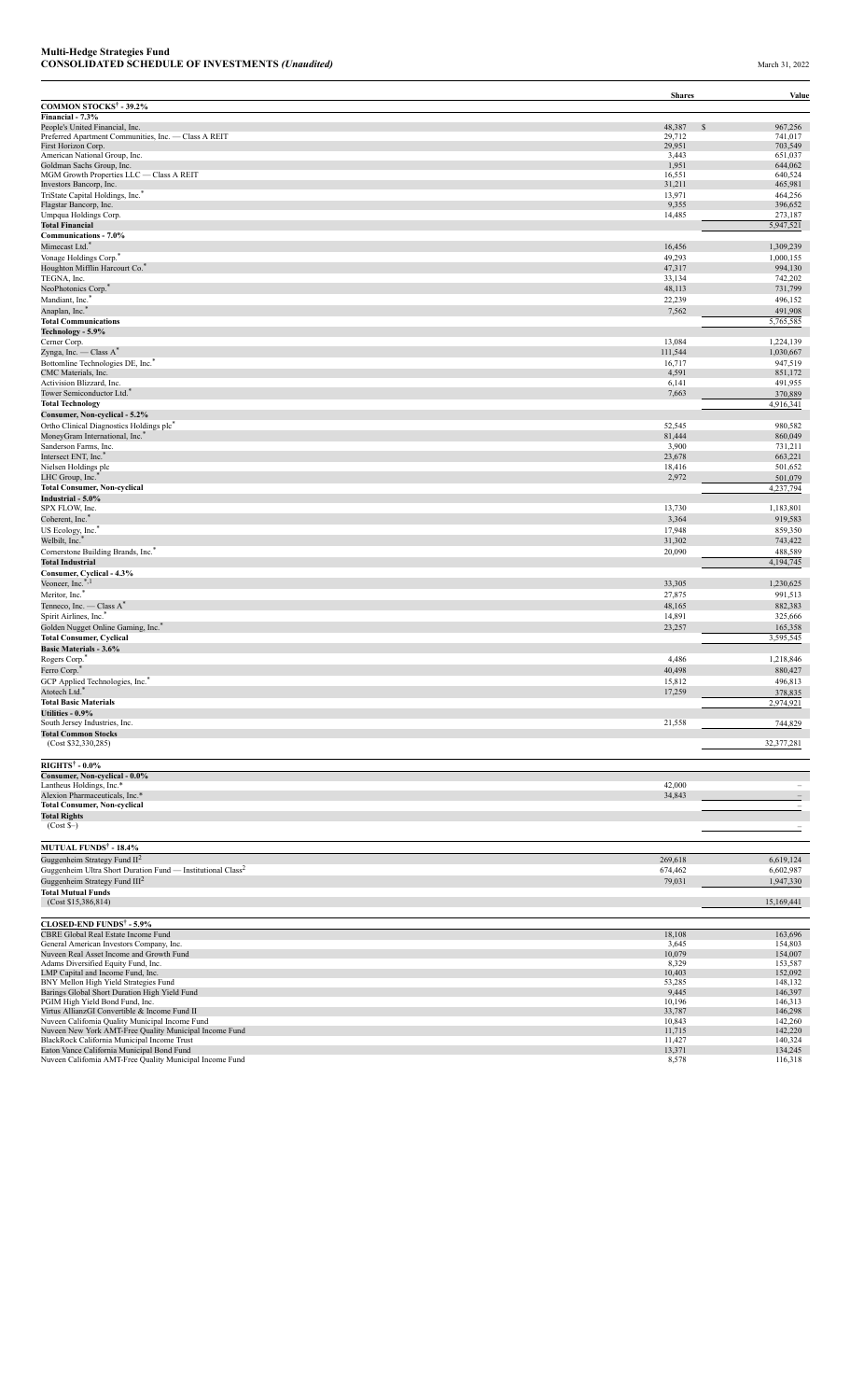|                                                                                         | <b>Shares</b>          | Value                    |
|-----------------------------------------------------------------------------------------|------------------------|--------------------------|
| <b>COMMON STOCKS<sup>†</sup> - 39.2%</b>                                                |                        |                          |
| Financial - 7.3%                                                                        |                        |                          |
| People's United Financial, Inc.<br>Preferred Apartment Communities, Inc. - Class A REIT | 48,387<br>\$<br>29,712 | 967,256<br>741,017       |
| First Horizon Corp.                                                                     | 29,951                 | 703,549                  |
| American National Group, Inc.                                                           | 3,443                  | 651,037                  |
| Goldman Sachs Group, Inc.                                                               | 1,951                  | 644,062                  |
| MGM Growth Properties LLC - Class A REIT                                                | 16,551                 | 640,524                  |
| Investors Bancorp, Inc.                                                                 | 31,211                 | 465,981                  |
| TriState Capital Holdings, Inc."                                                        | 13,971                 | 464,256                  |
| Flagstar Bancorp, Inc.                                                                  | 9,355                  | 396,652                  |
| Umpqua Holdings Corp.<br><b>Total Financial</b>                                         | 14,485                 | 273,187<br>5,947,521     |
| Communications - 7.0%                                                                   |                        |                          |
| Mimecast Ltd.*                                                                          | 16,456                 | 1,309,239                |
| Vonage Holdings Corp."                                                                  | 49,293                 | 1,000,155                |
| Houghton Mifflin Harcourt Co."                                                          | 47,317                 | 994,130                  |
| TEGNA, Inc.                                                                             | 33,134                 | 742,202                  |
| NeoPhotonics Corp.                                                                      | 48,113                 | 731,799                  |
| Mandiant, Inc.                                                                          | 22,239                 | 496,152                  |
| Anaplan, Inc. <sup>*</sup>                                                              | 7,562                  | 491,908                  |
| <b>Total Communications</b>                                                             |                        | 5,765,585                |
| Technology - 5.9%                                                                       |                        |                          |
| Cerner Corp.                                                                            | 13,084                 | 1,224,139                |
| Zynga, Inc. — Class A*                                                                  | 111,544                | 1,030,667                |
| Bottomline Technologies DE, Inc."                                                       | 16,717                 | 947,519                  |
| CMC Materials, Inc.                                                                     | 4,591                  | 851,172                  |
| Activision Blizzard, Inc.                                                               | 6,141                  | 491,955                  |
| Tower Semiconductor Ltd. <sup>3</sup>                                                   | 7,663                  | 370,889                  |
| <b>Total Technology</b>                                                                 |                        | 4,916,341                |
| Consumer, Non-cyclical - 5.2%                                                           |                        |                          |
| Ortho Clinical Diagnostics Holdings plc <sup>7</sup>                                    | 52,545                 | 980,582                  |
| MoneyGram International, Inc.<br>Sanderson Farms, Inc.                                  | 81,444<br>3,900        | 860,049<br>731,211       |
| Intersect ENT, Inc. <sup>*</sup>                                                        | 23,678                 | 663,221                  |
| Nielsen Holdings plc                                                                    | 18,416                 | 501,652                  |
| LHC Group, Inc. <sup>*</sup>                                                            | 2,972                  | 501,079                  |
| <b>Total Consumer, Non-cyclical</b>                                                     |                        | 4,237,794                |
| Industrial - 5.0%                                                                       |                        |                          |
| SPX FLOW, Inc.                                                                          | 13,730                 | 1,183,801                |
| Coherent, Inc. <sup>*</sup>                                                             | 3,364                  | 919,583                  |
| US Ecology, Inc.                                                                        | 17,948                 | 859,350                  |
| Welbilt, Inc.*                                                                          | 31,302                 | 743,422                  |
| Cornerstone Building Brands, Inc."                                                      | 20,090                 | 488,589                  |
| <b>Total Industrial</b>                                                                 |                        | 4,194,745                |
| Consumer, Cyclical - 4.3%                                                               |                        |                          |
| Veoneer, Inc.*,1                                                                        | 33,305                 | 1,230,625                |
| Meritor, Inc. <sup>*</sup>                                                              | 27,875                 | 991,513                  |
| Tenneco, Inc. — Class A <sup>*</sup>                                                    | 48,165                 | 882,383                  |
| Spirit Airlines, Inc."                                                                  | 14,891                 | 325,666                  |
| Golden Nugget Online Gaming, Inc."                                                      | 23,257                 | 165,358                  |
| <b>Total Consumer, Cyclical</b>                                                         |                        | 3,595,545                |
| <b>Basic Materials - 3.6%</b>                                                           |                        |                          |
| Rogers Corp."                                                                           | 4,486                  | 1,218,846                |
| Ferro Corp.                                                                             | 40,498                 | 880,427                  |
| GCP Applied Technologies, Inc."                                                         | 15,812                 | 496,813                  |
| Atotech Ltd.*                                                                           | 17,259                 | 378,835                  |
| <b>Total Basic Materials</b>                                                            |                        | 2,974,921                |
| Utilities - 0.9%<br>South Jersey Industries, Inc.                                       | 21,558                 | 744,829                  |
| <b>Total Common Stocks</b>                                                              |                        |                          |
| (Cost \$32,330,285)                                                                     |                        | 32,377,281               |
|                                                                                         |                        |                          |
| <b>RIGHTS<sup>†</sup> - 0.0%</b>                                                        |                        |                          |
| Consumer, Non-cyclical - 0.0%                                                           |                        |                          |
| Lantheus Holdings, Inc.*                                                                | 42,000                 | $\overline{\phantom{0}}$ |
| Alexion Pharmaceuticals, Inc.*                                                          | 34,843                 |                          |
| <b>Total Consumer, Non-cyclical</b>                                                     |                        | $\overline{\phantom{a}}$ |
| <b>Total Rights</b>                                                                     |                        |                          |
| $(Cost S-)$                                                                             |                        |                          |
|                                                                                         |                        |                          |
| <b>MUTUAL FUNDS<sup>†</sup> - 18.4%</b>                                                 | 269,618                |                          |
| Guggenheim Strategy Fund $II^2$                                                         |                        | 6,619,124                |
| Guggenheim Ultra Short Duration Fund — Institutional Class <sup>2</sup>                 | 674,462                | 6,602,987                |
| Guggenheim Strategy Fund $III2$                                                         | 79,031                 | 1,947,330                |
| <b>Total Mutual Funds</b><br>(Cost \$15,386,814)                                        |                        | 15,169,441               |
|                                                                                         |                        |                          |
| <b>CLOSED-END FUNDS<sup>†</sup> - 5.9%</b>                                              |                        |                          |
| CBRE Global Real Estate Income Fund                                                     | 18,108                 | 163,696                  |
| General American Investors Company, Inc.                                                | 3,645                  | 154,803                  |
| Nuveen Real Asset Income and Growth Fund                                                | 10,079                 | 154,007                  |
| Adams Diversified Equity Fund, Inc.                                                     | 8,329                  | 153,587                  |
| LMP Capital and Income Fund, Inc.                                                       | 10,403                 | 152,092                  |
| BNY Mellon High Yield Strategies Fund<br>Barings Global Short Duration High Yield Fund  | 53,285<br>9,445        | 148,132<br>146,397       |
| PGIM High Yield Bond Fund, Inc.                                                         | 10,196                 | 146,313                  |
| Virtus AllianzGI Convertible & Income Fund II                                           | 33,787                 | 146,298                  |
| Nuveen California Quality Municipal Income Fund                                         | 10,843                 | 142,260                  |
| Nuveen New York AMT-Free Quality Municipal Income Fund                                  | 11,715                 | 142,220                  |
| BlackRock California Municipal Income Trust                                             | 11,427                 | 140,324                  |
| Eaton Vance California Municipal Bond Fund                                              | 13,371                 | 134,245                  |
| Nuveen California AMT-Free Quality Municipal Income Fund                                | 8,578                  | 116,318                  |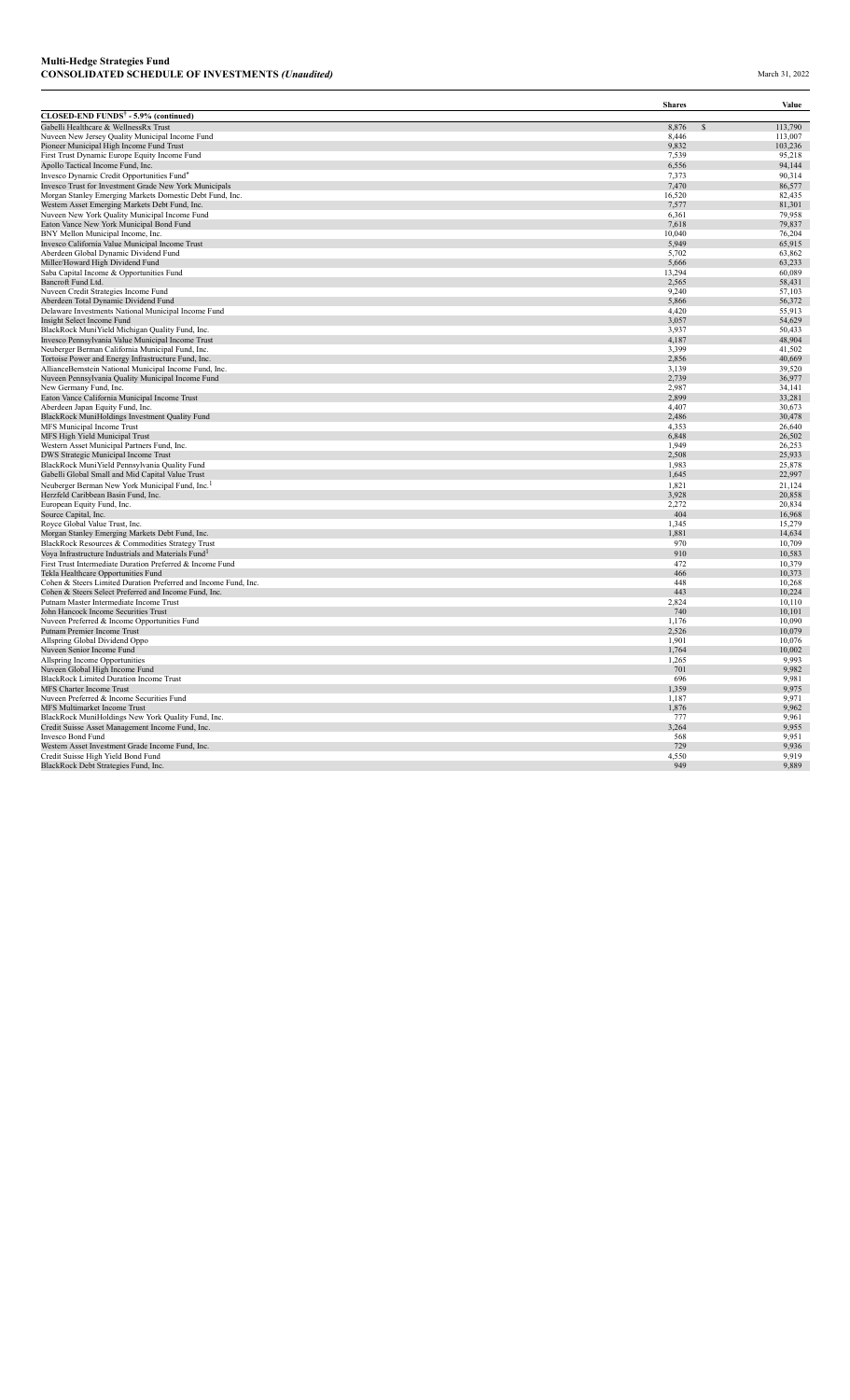|                                                                                                                     | <b>Shares</b>   | Value            |
|---------------------------------------------------------------------------------------------------------------------|-----------------|------------------|
| CLOSED-END FUNDS <sup>†</sup> - 5.9% (continued)                                                                    |                 |                  |
| Gabelli Healthcare & WellnessRx Trust                                                                               | 8,876           | 113,790          |
| Nuveen New Jersey Quality Municipal Income Fund                                                                     | 8,446           | 113,007          |
| Pioneer Municipal High Income Fund Trust                                                                            | 9,832           | 103,236          |
| First Trust Dynamic Europe Equity Income Fund                                                                       | 7,539<br>6,556  | 95,218           |
| Apollo Tactical Income Fund, Inc.                                                                                   |                 | 94,144           |
| Invesco Dynamic Credit Opportunities Fund®<br>Invesco Trust for Investment Grade New York Municipals                | 7,373<br>7,470  | 90,314<br>86,577 |
| Morgan Stanley Emerging Markets Domestic Debt Fund, Inc.                                                            | 16,520          | 82,435           |
| Western Asset Emerging Markets Debt Fund, Inc.                                                                      | 7,577           | 81,301           |
| Nuveen New York Quality Municipal Income Fund                                                                       | 6,361           | 79,958           |
| Eaton Vance New York Municipal Bond Fund                                                                            | 7,618           | 79,837           |
| BNY Mellon Municipal Income, Inc.                                                                                   | 10,040          | 76,204           |
| Invesco California Value Municipal Income Trust                                                                     | 5,949           | 65,915           |
| Aberdeen Global Dynamic Dividend Fund                                                                               | 5,702           | 63,862           |
| Miller/Howard High Dividend Fund<br>Saba Capital Income & Opportunities Fund                                        | 5,666<br>13,294 | 63,233<br>60,089 |
| Bancroft Fund Ltd.                                                                                                  | 2,565           | 58,431           |
| Nuveen Credit Strategies Income Fund                                                                                | 9,240           | 57,103           |
| Aberdeen Total Dynamic Dividend Fund                                                                                | 5,866           | 56,372           |
| Delaware Investments National Municipal Income Fund                                                                 | 4,420           | 55,913           |
| Insight Select Income Fund                                                                                          | 3,057           | 54,629           |
| BlackRock MuniYield Michigan Quality Fund, Inc.                                                                     | 3,937           | 50,433           |
| Invesco Pennsylvania Value Municipal Income Trust                                                                   | 4,187           | 48,904           |
| Neuberger Berman California Municipal Fund, Inc.                                                                    | 3,399           | 41,502           |
| Tortoise Power and Energy Infrastructure Fund, Inc.<br>AllianceBernstein National Municipal Income Fund, Inc.       | 2,856<br>3,139  | 40,669<br>39,520 |
| Nuveen Pennsylvania Quality Municipal Income Fund                                                                   | 2,739           | 36,977           |
| New Germany Fund, Inc.                                                                                              | 2,987           | 34,141           |
| Eaton Vance California Municipal Income Trust                                                                       | 2,899           | 33,281           |
| Aberdeen Japan Equity Fund, Inc.                                                                                    | 4.407           | 30,673           |
| BlackRock MuniHoldings Investment Quality Fund                                                                      | 2,486           | 30,478           |
| MFS Municipal Income Trust                                                                                          | 4,353           | 26,640           |
| MFS High Yield Municipal Trust                                                                                      | 6,848<br>1,949  | 26,502           |
| Western Asset Municipal Partners Fund, Inc.<br>DWS Strategic Municipal Income Trust                                 | 2,508           | 26,253<br>25,933 |
| BlackRock MuniYield Pennsylvania Quality Fund                                                                       | 1,983           | 25,878           |
| Gabelli Global Small and Mid Capital Value Trust                                                                    | 1,645           | 22,997           |
| Neuberger Berman New York Municipal Fund, Inc. <sup>1</sup>                                                         | 1,821           | 21,124           |
| Herzfeld Caribbean Basin Fund, Inc.                                                                                 | 3,928           | 20,858           |
| European Equity Fund, Inc.                                                                                          | 2,272           | 20,834           |
| Source Capital, Inc.                                                                                                | 404             | 16,968           |
| Royce Global Value Trust, Inc.                                                                                      | 1,345           | 15,279           |
| Morgan Stanley Emerging Markets Debt Fund, Inc.                                                                     | 1,881<br>970    | 14,634<br>10,709 |
| BlackRock Resources & Commodities Strategy Trust<br>Voya Infrastructure Industrials and Materials Fund <sup>1</sup> | 910             | 10,583           |
| First Trust Intermediate Duration Preferred & Income Fund                                                           | 472             | 10,379           |
| Tekla Healthcare Opportunities Fund                                                                                 | 466             | 10,373           |
| Cohen & Steers Limited Duration Preferred and Income Fund, Inc.                                                     | 448             | 10,268           |
| Cohen & Steers Select Preferred and Income Fund, Inc.                                                               | 443             | 10,224           |
| Putnam Master Intermediate Income Trust                                                                             | 2,824           | 10,110           |
| John Hancock Income Securities Trust                                                                                | 740             | 10,101           |
| Nuveen Preferred & Income Opportunities Fund                                                                        | 1,176           | 10,090           |
| Putnam Premier Income Trust<br>Allspring Global Dividend Oppo                                                       | 2,526<br>1,901  | 10,079<br>10,076 |
| Nuveen Senior Income Fund                                                                                           | 1,764           | 10,002           |
| Allspring Income Opportunities                                                                                      | 1,265           | 9,993            |
| Nuveen Global High Income Fund                                                                                      | 701             | 9,982            |
| BlackRock Limited Duration Income Trust                                                                             | 696             | 9,981            |
| <b>MFS Charter Income Trust</b>                                                                                     | 1,359           | 9,975            |
| Nuveen Preferred & Income Securities Fund                                                                           | 1,187           | 9.971            |
| MFS Multimarket Income Trust                                                                                        | 1,876           | 9,962            |
| BlackRock MuniHoldings New York Quality Fund, Inc.<br>Credit Suisse Asset Management Income Fund, Inc.              | 777<br>3,264    | 9,961<br>9,955   |
| <b>Invesco Bond Fund</b>                                                                                            | 568             | 9,951            |
| Western Asset Investment Grade Income Fund, Inc.                                                                    | 729             | 9,936            |
| Credit Suisse High Yield Bond Fund                                                                                  | 4,550           | 9,919            |
| BlackRock Debt Strategies Fund, Inc.                                                                                | 949             | 9.889            |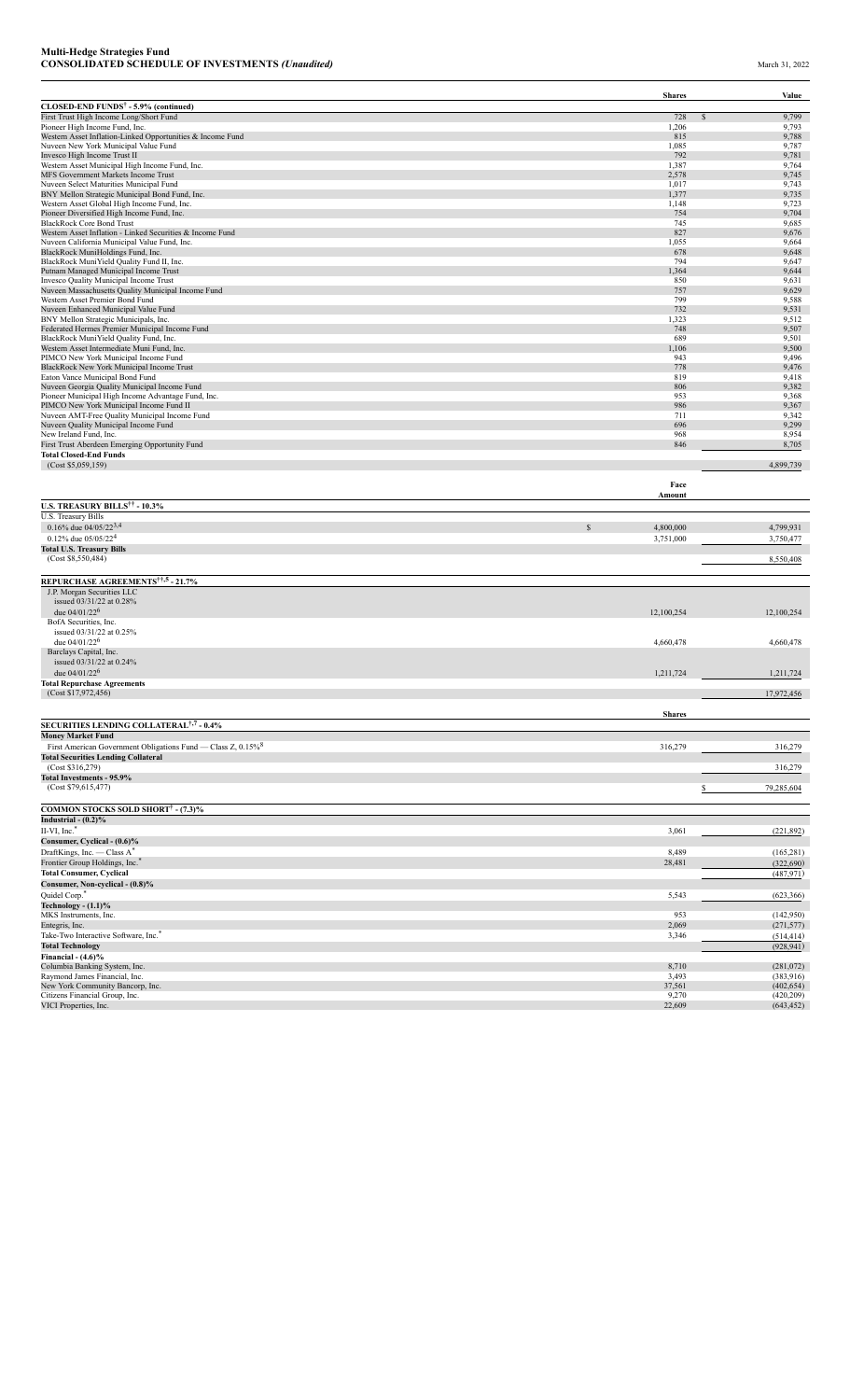|                                                                                |               | <b>Shares</b>        | Value          |
|--------------------------------------------------------------------------------|---------------|----------------------|----------------|
| CLOSED-END FUNDS <sup>†</sup> - 5.9% (continued)                               |               |                      |                |
| First Trust High Income Long/Short Fund                                        |               | 728<br>$\mathcal{S}$ | 9,799          |
| Pioneer High Income Fund, Inc.                                                 |               | 1,206                | 9,793          |
| Western Asset Inflation-Linked Opportunities & Income Fund                     |               | 815                  | 9,788          |
| Nuveen New York Municipal Value Fund                                           |               | 1,085<br>792         | 9,787<br>9,781 |
| Invesco High Income Trust II<br>Western Asset Municipal High Income Fund, Inc. |               | 1,387                | 9,764          |
| MFS Government Markets Income Trust                                            |               | 2,578                | 9,745          |
| Nuveen Select Maturities Municipal Fund                                        |               | 1,017                | 9,743          |
| BNY Mellon Strategic Municipal Bond Fund, Inc.                                 |               | 1,377                | 9,735          |
| Western Asset Global High Income Fund, Inc.                                    |               | 1.148                | 9.723          |
| Pioneer Diversified High Income Fund, Inc.                                     |               | 754                  | 9,704          |
| <b>BlackRock Core Bond Trust</b>                                               |               | 745                  | 9,685          |
| Western Asset Inflation - Linked Securities & Income Fund                      |               | 827                  | 9,676          |
| Nuveen California Municipal Value Fund, Inc.                                   |               | 1,055                | 9,664          |
| BlackRock MuniHoldings Fund, Inc.                                              |               | 678                  | 9,648          |
| BlackRock MuniYield Quality Fund II, Inc.                                      |               | 794                  | 9,647          |
| Putnam Managed Municipal Income Trust                                          |               | 1,364                | 9,644          |
| Invesco Quality Municipal Income Trust                                         |               | 850                  | 9,631          |
| Nuveen Massachusetts Quality Municipal Income Fund                             |               | 757                  | 9,629          |
| Western Asset Premier Bond Fund                                                |               | 799                  | 9,588          |
| Nuveen Enhanced Municipal Value Fund                                           |               | 732                  | 9,531          |
| BNY Mellon Strategic Municipals, Inc.                                          |               | 1,323                | 9,512          |
| Federated Hermes Premier Municipal Income Fund                                 |               | 748                  | 9,507          |
| BlackRock MuniYield Quality Fund, Inc.                                         |               | 689                  | 9,501          |
| Western Asset Intermediate Muni Fund, Inc.                                     |               | 1,106                | 9,500          |
| PIMCO New York Municipal Income Fund                                           |               | 943                  | 9,496          |
| <b>BlackRock New York Municipal Income Trust</b>                               |               | 778                  | 9,476          |
| Eaton Vance Municipal Bond Fund                                                |               | 819                  | 9,418          |
| Nuveen Georgia Quality Municipal Income Fund                                   |               | 806                  | 9,382          |
| Pioneer Municipal High Income Advantage Fund, Inc.                             |               | 953                  | 9,368          |
| PIMCO New York Municipal Income Fund II                                        |               | 986                  | 9,367          |
| Nuveen AMT-Free Quality Municipal Income Fund                                  |               | 711                  | 9,342          |
| Nuveen Quality Municipal Income Fund                                           |               | 696                  | 9,299          |
| New Ireland Fund, Inc.                                                         |               | 968                  | 8,954          |
| First Trust Aberdeen Emerging Opportunity Fund                                 |               | 846                  | 8,705          |
| <b>Total Closed-End Funds</b>                                                  |               |                      |                |
| (Cost \$5,059,159)                                                             |               |                      | 4,899,739      |
|                                                                                |               |                      |                |
|                                                                                |               | Face<br>Amount       |                |
| <b>U.S. TREASURY BILLS<sup>††</sup> - 10.3%</b>                                |               |                      |                |
| U.S. Treasury Bills                                                            |               |                      |                |
| 0.16% due $04/05/22^{3,4}$                                                     | $\mathcal{S}$ | 4,800,000            | 4,799,931      |
| 0.12% due $05/05/224$                                                          |               |                      |                |
|                                                                                |               | 3,751,000            | 3,750,477      |
| <b>Total U.S. Treasury Bills</b>                                               |               |                      |                |
| (Cost \$8,550,484)                                                             |               |                      | 8,550,408      |
| REPURCHASE AGREEMENTS <sup>††,5</sup> - 21.7%                                  |               |                      |                |
| J.P. Morgan Securities LLC                                                     |               |                      |                |
| issued 03/31/22 at 0.28%                                                       |               |                      |                |
| due $04/01/22^6$                                                               |               | 12,100,254           | 12,100,254     |
| BofA Securities, Inc.                                                          |               |                      |                |
|                                                                                |               |                      |                |
| issued 03/31/22 at 0.25%                                                       |               |                      |                |
| due $04/01/22^6$                                                               |               | 4,660,478            | 4,660,478      |
| Barclays Capital, Inc.                                                         |               |                      |                |
| issued 03/31/22 at 0.24%                                                       |               |                      |                |
| due $04/01/22^6$                                                               |               | 1,211,724            | 1,211,724      |
| <b>Total Repurchase Agreements</b>                                             |               |                      |                |
| (Cost \$17,972,456)                                                            |               |                      | 17,972,456     |

|                                                                          | <b>Shares</b> |            |
|--------------------------------------------------------------------------|---------------|------------|
| SECURITIES LENDING COLLATERAL <sup>†,7</sup> - 0.4%                      |               |            |
| <b>Money Market Fund</b>                                                 |               |            |
| First American Government Obligations Fund — Class Z, 0.15% <sup>8</sup> | 316,279       | 316,279    |
| <b>Total Securities Lending Collateral</b>                               |               |            |
| (Cost \$316,279)                                                         |               | 316,279    |
| <b>Total Investments - 95.9%</b>                                         |               |            |
| (Cost \$79,615,477)                                                      |               | 79,285,604 |
| <b>COMMON STOCKS SOLD SHORT<sup>†</sup> - (7.3)%</b>                     |               |            |
| Industrial $-(0.2)\%$                                                    |               |            |
| $II-VI$ , Inc. $*$                                                       | 3,061         | (221, 892) |
| Consumer, Cyclical - (0.6)%                                              |               |            |
| DraftKings, Inc. - Class A*                                              | 8,489         | (165, 281) |
| Frontier Group Holdings, Inc.                                            | 28,481        | (322, 690) |
| <b>Total Consumer, Cyclical</b>                                          |               | (487, 971) |
| Consumer, Non-cyclical - (0.8)%                                          |               |            |
| Quidel Corp.*                                                            | 5,543         | (623, 366) |
| Technology $- (1.1)$ %                                                   |               |            |
| MKS Instruments, Inc.                                                    | 953           | (142,950)  |
| Entegris, Inc.                                                           | 2,069         | (271, 577) |
| Take-Two Interactive Software, Inc. <sup>*</sup>                         | 3,346         | (514, 414) |
| <b>Total Technology</b>                                                  |               | (928, 941) |
| Financial - $(4.6)\%$                                                    |               |            |
| Columbia Banking System, Inc.                                            | 8,710         | (281,072)  |
| Raymond James Financial, Inc.                                            | 3.493         | (383.916)  |

Raymond James Financial, Inc. (383,916)<br>New York Community Bancorp, Inc. (400,2654)<br>NEC International Group, Inc. (402,009)<br>VICI Properties, Inc. (43,452) (43,452) (43,452)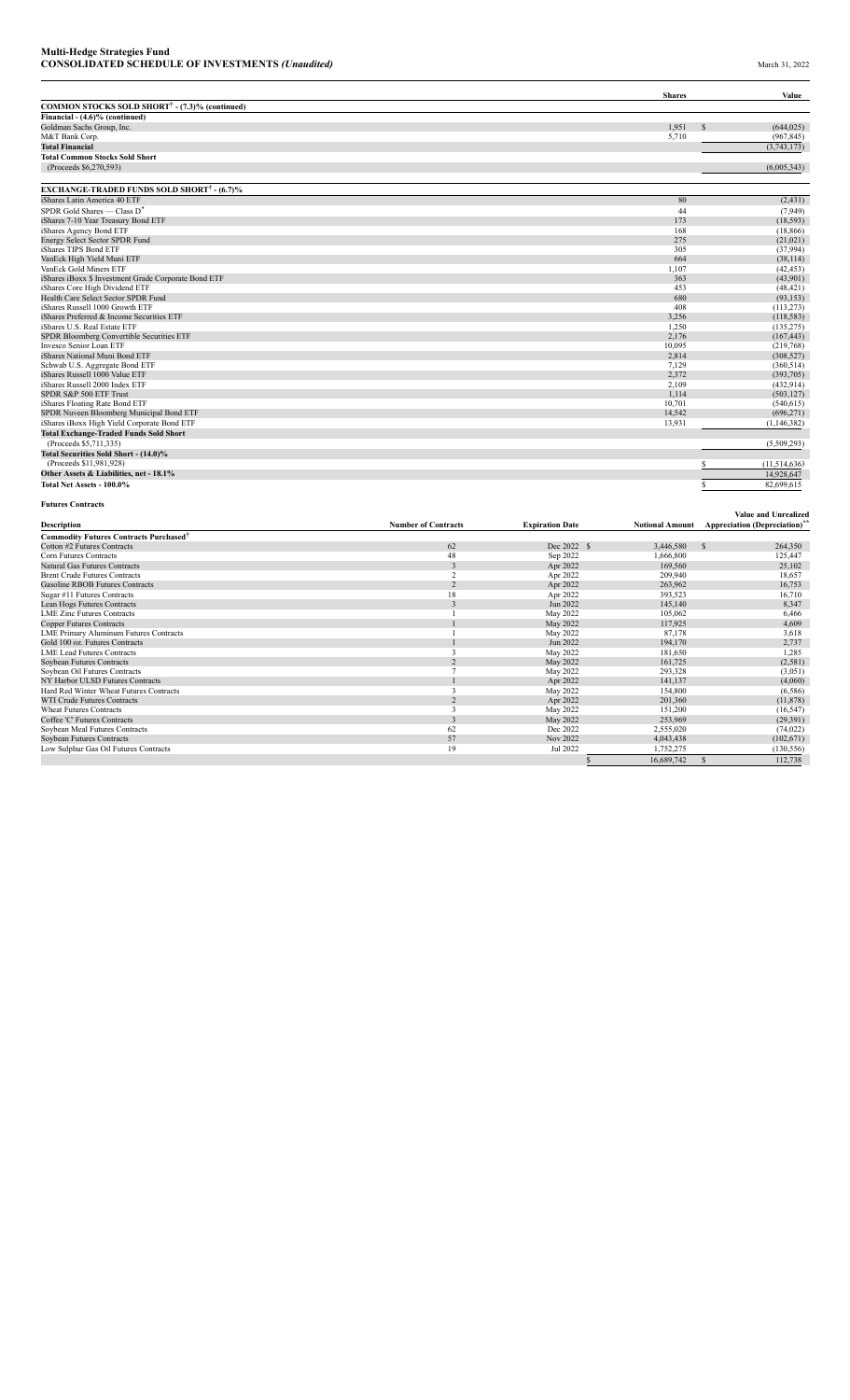|                                                                      |                               |                        | <b>Shares</b>        | Value                                                    |
|----------------------------------------------------------------------|-------------------------------|------------------------|----------------------|----------------------------------------------------------|
| COMMON STOCKS SOLD SHORT <sup>†</sup> - (7.3)% (continued)           |                               |                        |                      |                                                          |
| Financial - (4.6)% (continued)<br>Goldman Sachs Group, Inc.          |                               |                        | 1.951                | (644.025)                                                |
| M&T Bank Corp.                                                       |                               |                        | 5,710                | (967, 845)                                               |
| <b>Total Financial</b>                                               |                               |                        |                      | (3,743,173)                                              |
| <b>Total Common Stocks Sold Short</b>                                |                               |                        |                      |                                                          |
| (Proceeds \$6,270,593)                                               |                               |                        |                      | (6,005,343)                                              |
| <b>EXCHANGE-TRADED FUNDS SOLD SHORT<sup>†</sup> - (6.7)%</b>         |                               |                        |                      |                                                          |
| iShares Latin America 40 ETF                                         |                               |                        | 80                   | (2, 431)                                                 |
| SPDR Gold Shares — Class D <sup>*</sup>                              |                               |                        | 44                   | (7,949)                                                  |
| iShares 7-10 Year Treasury Bond ETF                                  |                               |                        | 173                  | (18, 593)                                                |
| iShares Agency Bond ETF                                              |                               |                        | 168                  | (18, 866)                                                |
| Energy Select Sector SPDR Fund                                       |                               |                        | 275                  | (21,021)                                                 |
| iShares TIPS Bond ETF                                                |                               |                        | 305                  | (37,994)                                                 |
| VanEck High Yield Muni ETF<br>VanEck Gold Miners ETF                 |                               |                        | 664<br>1,107         | (38, 114)<br>(42, 453)                                   |
| iShares iBoxx \$ Investment Grade Corporate Bond ETF                 |                               |                        | 363                  | (43,901)                                                 |
| iShares Core High Dividend ETF                                       |                               |                        | 453                  | (48, 421)                                                |
| Health Care Select Sector SPDR Fund                                  |                               |                        | 680                  | (93, 153)                                                |
| iShares Russell 1000 Growth ETF                                      |                               |                        | 408                  | (113, 273)                                               |
| iShares Preferred & Income Securities ETF                            |                               |                        | 3,256                | (118, 583)                                               |
| iShares U.S. Real Estate ETF                                         |                               |                        | 1,250                | (135, 275)                                               |
| SPDR Bloomberg Convertible Securities ETF                            |                               |                        | 2,176                | (167, 443)                                               |
| Invesco Senior Loan ETF                                              |                               |                        | 10,095               | (219,768)                                                |
| iShares National Muni Bond ETF<br>Schwab U.S. Aggregate Bond ETF     |                               |                        | 2,814<br>7.129       | (308, 527)<br>(360, 514)                                 |
| iShares Russell 1000 Value ETF                                       |                               |                        | 2,372                | (393,705)                                                |
| iShares Russell 2000 Index ETF                                       |                               |                        | 2,109                | (432, 914)                                               |
| SPDR S&P 500 ETF Trust                                               |                               |                        | 1,114                | (503, 127)                                               |
| iShares Floating Rate Bond ETF                                       |                               |                        | 10,701               | (540, 615)                                               |
| SPDR Nuveen Bloomberg Municipal Bond ETF                             |                               |                        | 14,542               | (696, 271)                                               |
| iShares iBoxx High Yield Corporate Bond ETF                          |                               |                        | 13,931               | (1, 146, 382)                                            |
| <b>Total Exchange-Traded Funds Sold Short</b>                        |                               |                        |                      |                                                          |
| (Proceeds \$5,711,335)                                               |                               |                        |                      | (5,509,293)                                              |
| Total Securities Sold Short - (14.0)%                                |                               |                        |                      |                                                          |
| (Proceeds \$11,981,928)                                              |                               |                        |                      | \$<br>(11, 514, 636)                                     |
| Other Assets & Liabilities, net - 18.1%<br>Total Net Assets - 100.0% |                               |                        |                      | 14,928,647<br>82,699,615                                 |
|                                                                      |                               |                        |                      |                                                          |
| <b>Futures Contracts</b>                                             |                               |                        |                      | Value and Unrealized                                     |
| Description                                                          | <b>Number of Contracts</b>    | <b>Expiration Date</b> |                      | Notional Amount Appreciation (Depreciation) <sup>*</sup> |
| <b>Commodity Futures Contracts Purchased<sup>†</sup></b>             |                               |                        |                      |                                                          |
| Cotton #2 Futures Contracts                                          | 62                            | Dec 2022 \$            | 3,446,580            | 264,350                                                  |
| Corn Futures Contracts<br>Natural Gas Futures Contracts              | 48<br>$\overline{\mathbf{3}}$ | Sep 2022<br>Apr 2022   | 1,666,800<br>169,560 | 125,447<br>25,102                                        |
| <b>Brent Crude Futures Contracts</b>                                 | $\overline{2}$                | Apr 2022               | 209,940              | 18,657                                                   |
| <b>Gasoline RBOB Futures Contracts</b>                               | 2                             | Apr 2022               | 263,962              | 16,753                                                   |
| Sugar #11 Futures Contracts                                          | 18                            | Apr 2022               | 393,523              | 16,710                                                   |
| Lean Hogs Futures Contracts                                          | $\mathfrak z$                 | Jun 2022               | 145,140              | 8,347                                                    |
| <b>LME Zinc Futures Contracts</b>                                    | -1                            | May 2022               | 105,062              | 6,466                                                    |
| <b>Copper Futures Contracts</b>                                      |                               | May 2022               | 117,925              | 4,609                                                    |
| <b>LME Primary Aluminum Futures Contracts</b>                        | 1                             | May 2022               | 87,178               | 3,618                                                    |
| Gold 100 oz. Futures Contracts                                       |                               | Jun 2022               | 194,170              | 2,737                                                    |
| <b>LME Lead Futures Contracts</b><br>Soybean Futures Contracts       | 3<br>$\overline{2}$           | May 2022<br>May 2022   | 181,650<br>161,725   | 1,285<br>(2, 581)                                        |
| Soybean Oil Futures Contracts                                        | $\overline{7}$                | May 2022               | 293,328              | (3,051)                                                  |
| NY Harbor ULSD Futures Contracts                                     | 1                             | Apr 2022               | 141,137              | (4,060)                                                  |
| Hard Red Winter Wheat Futures Contracts                              | $\overline{\mathbf{3}}$       | May 2022               | 154,800              | (6,586)                                                  |
| <b>WTI Crude Futures Contracts</b>                                   | $\overline{2}$                | Apr 2022               | 201,360              | (11, 878)                                                |
| <b>Wheat Futures Contracts</b>                                       | 3                             | May 2022               | 151,200              | (16, 547)                                                |
| Coffee 'C' Futures Contracts                                         | 3                             | May 2022               | 253,969              | (29,391)                                                 |
| Soybean Meal Futures Contracts                                       | 62                            | Dec 2022               | 2,555,020            | (74, 022)                                                |
| Soybean Futures Contracts                                            | 57                            | Nov 2022               | 4,043,438            | (102, 671)                                               |
| Low Sulphur Gas Oil Futures Contracts                                | 19                            | Jul 2022               | 1,752,275            | (130, 556)                                               |
|                                                                      |                               |                        | 16,689,742           | 112,738                                                  |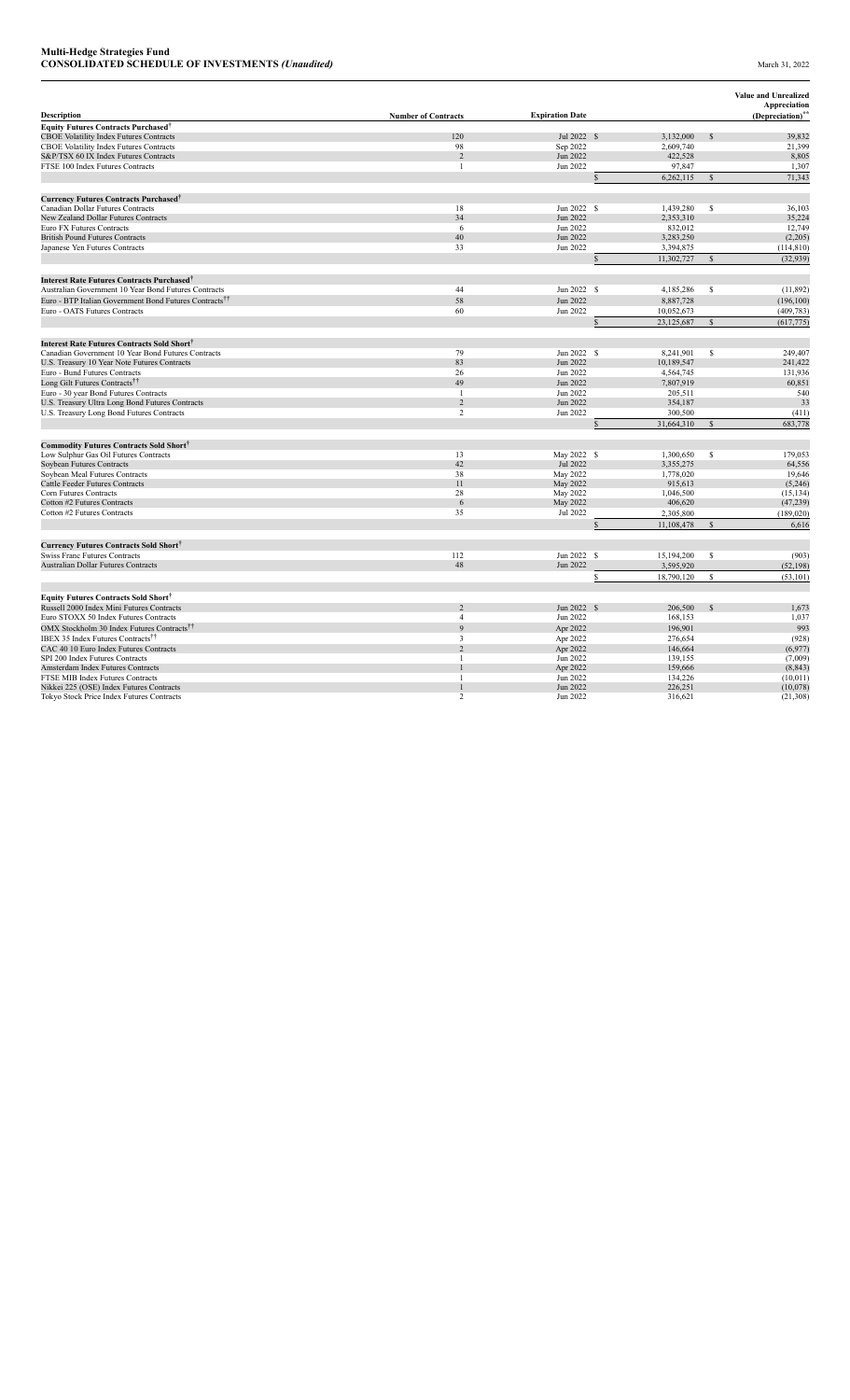|                                                                    |                            |                        |                         |               | Value and Unrealized<br>Appreciation |
|--------------------------------------------------------------------|----------------------------|------------------------|-------------------------|---------------|--------------------------------------|
| Description                                                        | <b>Number of Contracts</b> | <b>Expiration Date</b> |                         |               | (Depreciation) <sup>**</sup>         |
| <b>Equity Futures Contracts Purchased<sup>†</sup></b>              |                            |                        |                         |               |                                      |
| <b>CBOE Volatility Index Futures Contracts</b>                     | 120                        | Jul 2022 \$            | 3,132,000               | $\mathcal{S}$ | 39,832                               |
| CBOE Volatility Index Futures Contracts                            | 98                         | Sep 2022               | 2,609,740               |               | 21,399                               |
| S&P/TSX 60 IX Index Futures Contracts                              | $\overline{2}$             | Jun 2022               | 422,528                 |               | 8,805                                |
| FTSE 100 Index Futures Contracts                                   | $\overline{1}$             | Jun 2022               | 97,847                  |               | 1,307                                |
|                                                                    |                            |                        | 6,262,115               |               | 71,343                               |
| <b>Currency Futures Contracts Purchased<sup>†</sup></b>            |                            |                        |                         |               |                                      |
| Canadian Dollar Futures Contracts                                  | 18                         | Jun 2022 \$            | 1,439,280               | S             | 36,103                               |
| New Zealand Dollar Futures Contracts                               | 34                         | Jun 2022               | 2,353,310               |               | 35,224                               |
| Euro FX Futures Contracts                                          | 6                          | Jun 2022               | 832,012                 |               | 12,749                               |
| <b>British Pound Futures Contracts</b>                             | 40                         | Jun 2022               | 3,283,250               |               | (2,205)                              |
| Japanese Yen Futures Contracts                                     | 33                         | Jun 2022               | 3,394,875<br>11,302,727 |               | (114, 810)<br>(32,939)               |
|                                                                    |                            |                        |                         |               |                                      |
| Interest Rate Futures Contracts Purchased <sup>†</sup>             |                            |                        |                         |               |                                      |
| Australian Government 10 Year Bond Futures Contracts               | 44                         | Jun 2022 \$            | 4,185,286               | S             | (11, 892)                            |
| Euro - BTP Italian Government Bond Futures Contracts <sup>††</sup> | 58                         | Jun 2022               | 8,887,728               |               | (196, 100)                           |
| Euro - OATS Futures Contracts                                      | 60                         | Jun 2022               | 10,052,673              |               | (409, 783)                           |
|                                                                    |                            |                        | 23,125,687              | $\mathbf S$   | (617, 775)                           |
| Interest Rate Futures Contracts Sold Short <sup>†</sup>            |                            |                        |                         |               |                                      |
| Canadian Government 10 Year Bond Futures Contracts                 | 79                         | Jun 2022 \$            | 8.241.901               | \$            | 249,407                              |
| U.S. Treasury 10 Year Note Futures Contracts                       | 83                         | Jun 2022               | 10,189,547              |               | 241,422                              |
| Euro - Bund Futures Contracts                                      | 26                         | Jun 2022               | 4,564,745               |               | 131,936                              |
| Long Gilt Futures Contracts <sup>††</sup>                          | 49                         | Jun 2022               | 7,807,919               |               | 60,851                               |
| Euro - 30 year Bond Futures Contracts                              | $\overline{1}$             | Jun 2022               | 205,511                 |               | 540                                  |
| U.S. Treasury Ultra Long Bond Futures Contracts                    | 2                          | Jun 2022               | 354,187                 |               | 33                                   |
| U.S. Treasury Long Bond Futures Contracts                          | $\overline{c}$             | Jun 2022               | 300,500                 |               | (411)                                |
|                                                                    |                            |                        | 31,664,310              |               | 683,778                              |
| <b>Commodity Futures Contracts Sold Short</b> †                    |                            |                        |                         |               |                                      |
| Low Sulphur Gas Oil Futures Contracts                              | 13                         | May 2022 \$            | 1,300,650               | S             | 179,053                              |
| Soybean Futures Contracts                                          | 42                         | Jul 2022               | 3,355,275               |               | 64,556                               |
| Soybean Meal Futures Contracts                                     | 38                         | May 2022               | 1,778,020               |               | 19,646                               |
| <b>Cattle Feeder Futures Contracts</b>                             | 11                         | May 2022               | 915,613                 |               | (5,246)                              |
| Corn Futures Contracts                                             | 28                         | May 2022               | 1.046.500               |               | (15, 134)                            |
| Cotton #2 Futures Contracts                                        | 6                          | May 2022               | 406,620                 |               | (47, 239)                            |
| Cotton #2 Futures Contracts                                        | 35                         | Jul 2022               | 2,305,800               |               | (189, 020)                           |
|                                                                    |                            |                        | 11,108,478              |               | 6,616                                |
| <b>Currency Futures Contracts Sold Short</b> †                     |                            |                        |                         |               |                                      |
| <b>Swiss Franc Futures Contracts</b>                               | 112                        | Jun 2022 \$            | 15,194,200              | S             | (903)                                |
| <b>Australian Dollar Futures Contracts</b>                         | 48                         | Jun 2022               | 3,595,920               |               | (52, 198)                            |
|                                                                    |                            |                        | 18,790,120<br>S         | \$            | (53, 101)                            |
| Equity Futures Contracts Sold Short <sup>T</sup>                   |                            |                        |                         |               |                                      |
| Russell 2000 Index Mini Futures Contracts                          | $\overline{c}$             | Jun 2022 \$            | 206,500                 | $\mathcal{S}$ | 1,673                                |
| Euro STOXX 50 Index Futures Contracts                              | $\overline{4}$             | Jun 2022               | 168,153                 |               | 1,037                                |
| OMX Stockholm 30 Index Futures Contracts <sup>††</sup>             | $\mathbf{Q}$               | Apr 2022               | 196,901                 |               | 993                                  |
| <b>IBEX 35 Index Futures Contracts<sup>††</sup></b>                | $\overline{3}$             | Apr 2022               | 276,654                 |               | (928)                                |
| CAC 40 10 Euro Index Futures Contracts                             | $\overline{2}$             | Apr 2022               | 146,664                 |               | (6,977)                              |
| SPI 200 Index Futures Contracts                                    | $\overline{1}$             | Jun 2022               | 139,155                 |               | (7,009)                              |
| Amsterdam Index Futures Contracts                                  |                            | Apr 2022               | 159,666                 |               | (8, 843)                             |
| FTSE MIB Index Futures Contracts                                   |                            | Jun 2022               | 134,226                 |               | (10, 011)                            |
| Nikkei 225 (OSE) Index Futures Contracts                           |                            | Jun 2022               | 226,251                 |               | (10,078)                             |
| Tokyo Stock Price Index Futures Contracts                          | $\overline{c}$             | Jun 2022               | 316,621                 |               | (21, 308)                            |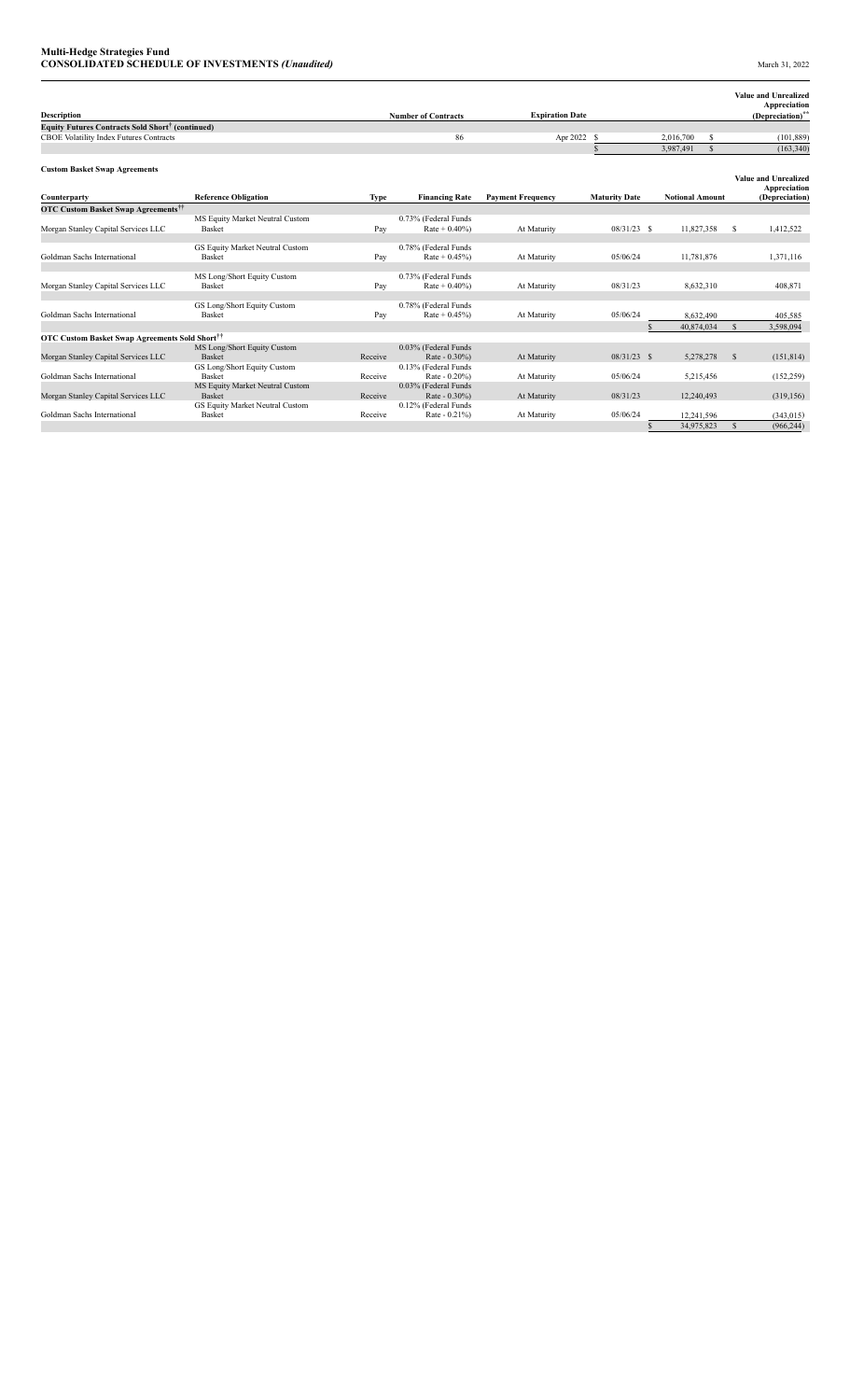| <b>Description</b>                                           |                                                  |             | <b>Number of Contracts</b>            | <b>Expiration Date</b>   |                      |               |                        |              |               | <b>Value and Unrealized</b><br>Appreciation<br>(Depreciation)** |
|--------------------------------------------------------------|--------------------------------------------------|-------------|---------------------------------------|--------------------------|----------------------|---------------|------------------------|--------------|---------------|-----------------------------------------------------------------|
| Equity Futures Contracts Sold Short <sup>†</sup> (continued) |                                                  |             |                                       |                          |                      |               |                        |              |               |                                                                 |
| CBOE Volatility Index Futures Contracts                      |                                                  |             | 86                                    | Apr 2022                 | S                    |               | 2,016,700              | \$           |               | (101, 889)                                                      |
|                                                              |                                                  |             |                                       |                          |                      |               | 3,987,491              | $\mathbb{S}$ |               | (163, 340)                                                      |
| <b>Custom Basket Swap Agreements</b>                         |                                                  |             |                                       |                          |                      |               |                        |              |               | <b>Value and Unrealized</b><br>Appreciation                     |
| Counterparty                                                 | <b>Reference Obligation</b>                      | <b>Type</b> | <b>Financing Rate</b>                 | <b>Payment Frequency</b> | <b>Maturity Date</b> |               | <b>Notional Amount</b> |              |               | (Depreciation)                                                  |
| <b>OTC Custom Basket Swap Agreements<sup>††</sup></b>        |                                                  |             |                                       |                          |                      |               |                        |              |               |                                                                 |
|                                                              | MS Equity Market Neutral Custom                  |             | 0.73% (Federal Funds)                 |                          |                      |               |                        |              |               |                                                                 |
| Morgan Stanley Capital Services LLC                          | Basket                                           | Pay         | $Rate + 0.40\%)$                      | At Maturity              | $08/31/23$ \$        |               | 11,827,358             |              | S             | 1,412,522                                                       |
|                                                              | GS Equity Market Neutral Custom                  |             | 0.78% (Federal Funds)                 |                          |                      |               |                        |              |               |                                                                 |
| Goldman Sachs International                                  | Basket                                           | Pay         | $Rate + 0.45\%)$                      | At Maturity              | 05/06/24             |               | 11,781,876             |              |               | 1,371,116                                                       |
|                                                              |                                                  |             |                                       |                          |                      |               |                        |              |               |                                                                 |
|                                                              | MS Long/Short Equity Custom                      |             | 0.73% (Federal Funds                  |                          |                      |               |                        |              |               |                                                                 |
| Morgan Stanley Capital Services LLC                          | Basket                                           | Pay         | $Rate + 0.40\%)$                      | At Maturity              | 08/31/23             |               | 8,632,310              |              |               | 408,871                                                         |
|                                                              |                                                  |             |                                       |                          |                      |               |                        |              |               |                                                                 |
|                                                              | GS Long/Short Equity Custom                      |             | 0.78% (Federal Funds                  |                          |                      |               |                        |              |               |                                                                 |
| Goldman Sachs International                                  | Basket                                           | Pay         | $Rate + 0.45\%)$                      | At Maturity              | 05/06/24             |               | 8,632,490              |              |               | 405.585                                                         |
|                                                              |                                                  |             |                                       |                          |                      |               | 40,874,034             |              | $\mathcal{S}$ | 3,598,094                                                       |
| OTC Custom Basket Swap Agreements Sold Short <sup>††</sup>   |                                                  |             |                                       |                          |                      |               |                        |              |               |                                                                 |
|                                                              | MS Long/Short Equity Custom                      |             | 0.03% (Federal Funds                  |                          |                      |               |                        |              |               |                                                                 |
| Morgan Stanley Capital Services LLC                          | <b>Basket</b>                                    | Receive     | Rate - 0.30%)                         | At Maturity              | $08/31/23$ \$        |               | 5,278,278              |              | <sup>\$</sup> | (151, 814)                                                      |
|                                                              | GS Long/Short Equity Custom                      |             | 0.13% (Federal Funds)                 |                          |                      |               |                        |              |               |                                                                 |
| Goldman Sachs International                                  | Basket                                           | Receive     | Rate - 0.20%)                         | At Maturity              | 05/06/24             |               | 5,215,456              |              |               | (152, 259)                                                      |
|                                                              | MS Equity Market Neutral Custom<br><b>Basket</b> |             | 0.03% (Federal Funds                  |                          |                      |               |                        |              |               |                                                                 |
| Morgan Stanley Capital Services LLC                          |                                                  | Receive     | Rate - 0.30%)                         | At Maturity              | 08/31/23             |               | 12,240,493             |              |               | (319, 156)                                                      |
| Goldman Sachs International                                  | GS Equity Market Neutral Custom<br>Basket        | Receive     | 0.12% (Federal Funds<br>Rate - 0.21%) | At Maturity              | 05/06/24             |               | 12,241,596             |              |               | (343, 015)                                                      |
|                                                              |                                                  |             |                                       |                          |                      |               |                        |              |               |                                                                 |
|                                                              |                                                  |             |                                       |                          |                      | <sup>\$</sup> | 34,975,823             |              | $\mathbb{S}$  | (966, 244)                                                      |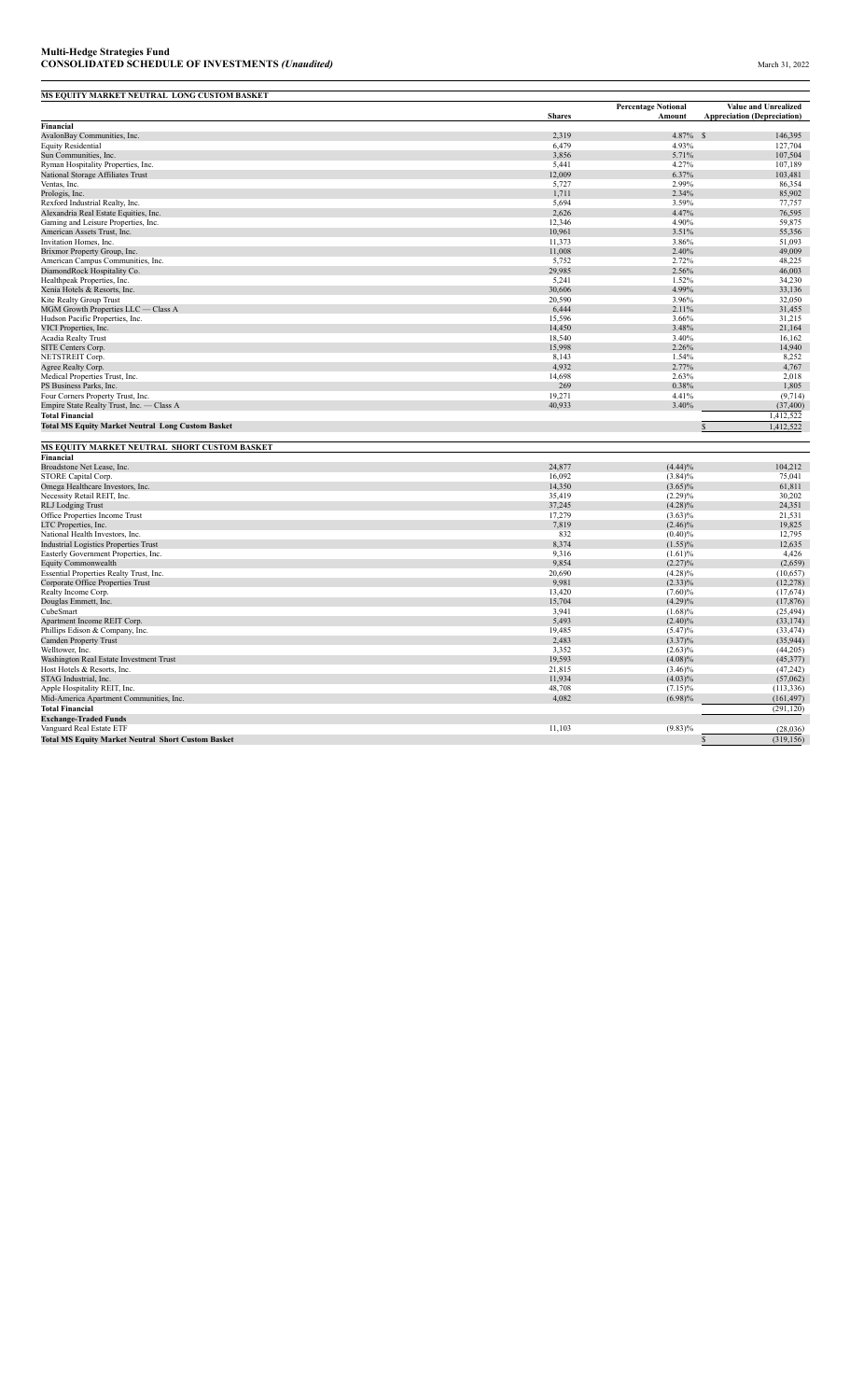| MS EQUITY MARKET NEUTRAL LONG CUSTOM BASKET                                           |                  |                            |                                    |
|---------------------------------------------------------------------------------------|------------------|----------------------------|------------------------------------|
|                                                                                       |                  | <b>Percentage Notional</b> | Value and Unrealized               |
| <b>Financial</b>                                                                      | <b>Shares</b>    | Amount                     | <b>Appreciation (Depreciation)</b> |
| AvalonBay Communities, Inc.                                                           | 2,319            | 4.87%                      | 146,395<br>$\mathcal{S}$           |
| <b>Equity Residential</b>                                                             | 6,479            | 4.93%                      | 127,704                            |
| Sun Communities, Inc.                                                                 | 3,856            | 5.71%                      | 107,504                            |
| Ryman Hospitality Properties, Inc.                                                    | 5,441            | 4.27%                      | 107,189                            |
| National Storage Affiliates Trust                                                     | 12,009           | 6.37%                      | 103,481                            |
| Ventas, Inc.                                                                          | 5,727            | 2.99%                      | 86,354                             |
| Prologis, Inc.                                                                        | 1,711            | 2.34%                      | 85,902                             |
| Rexford Industrial Realty, Inc.                                                       | 5,694            | 3.59%                      | 77,757                             |
| Alexandria Real Estate Equities, Inc.                                                 | 2,626            | 4.47%                      | 76,595                             |
| Gaming and Leisure Properties, Inc.                                                   | 12,346           | 4.90%                      | 59,875                             |
| American Assets Trust, Inc.                                                           | 10,961           | 3.51%                      | 55,356                             |
| Invitation Homes, Inc.                                                                | 11,373           | 3.86%                      | 51,093                             |
| Brixmor Property Group, Inc.                                                          | 11,008           | 2.40%                      | 49,009                             |
| American Campus Communities, Inc.                                                     | 5,752            | 2.72%                      | 48,225                             |
| DiamondRock Hospitality Co.                                                           | 29,985           | 2.56%                      | 46,003                             |
| Healthpeak Properties, Inc.                                                           | 5,241            | 1.52%                      | 34,230                             |
| Xenia Hotels & Resorts, Inc.                                                          | 30,606           | 4.99%                      | 33,136                             |
| Kite Realty Group Trust                                                               | 20,590           | 3.96%                      | 32,050                             |
| MGM Growth Properties LLC — Class A                                                   | 6,444            | 2.11%                      | 31,455                             |
| Hudson Pacific Properties, Inc.                                                       | 15,596           | 3.66%                      | 31,215                             |
| VICI Properties, Inc.                                                                 | 14,450           | 3.48%                      | 21,164                             |
| Acadia Realty Trust                                                                   | 18,540           | 3.40%                      | 16,162                             |
| SITE Centers Corp.                                                                    | 15,998           | 2.26%                      | 14,940                             |
| NETSTREIT Corp.                                                                       | 8,143            | 1.54%                      | 8,252                              |
| Agree Realty Corp.                                                                    | 4,932            | 2.77%                      | 4,767                              |
| Medical Properties Trust, Inc.                                                        | 14,698           | 2.63%                      | 2,018                              |
| PS Business Parks, Inc.                                                               | 269              | 0.38%<br>4.41%             | 1,805                              |
| Four Corners Property Trust, Inc.                                                     | 19,271<br>40,933 | 3.40%                      | (9, 714)<br>(37, 400)              |
| Empire State Realty Trust, Inc. - Class A                                             |                  |                            |                                    |
| <b>Total Financial</b>                                                                |                  |                            | 1,412,522<br><b>S</b>              |
| <b>Total MS Equity Market Neutral Long Custom Basket</b>                              |                  |                            | 1,412,522                          |
| MS EQUITY MARKET NEUTRAL SHORT CUSTOM BASKET                                          |                  |                            |                                    |
| Financial                                                                             |                  |                            |                                    |
| Broadstone Net Lease, Inc.                                                            | 24,877           | (4.44)%                    | 104,212                            |
| STORE Capital Corp.                                                                   | 16.092           | $(3.84)\%$                 | 75,041                             |
| Omega Healthcare Investors, Inc.                                                      | 14,350           | $(3.65)\%$                 | 61,811                             |
| Necessity Retail REIT, Inc.                                                           | 35,419           | (2.29)%                    | 30,202                             |
| <b>RLJ</b> Lodging Trust                                                              | 37,245           | $(4.28)\%$                 | 24,351                             |
| Office Properties Income Trust                                                        | 17,279           | $(3.63)\%$                 | 21,531                             |
| LTC Properties, Inc.                                                                  | 7,819            | $(2.46)\%$                 | 19,825                             |
| National Health Investors, Inc.                                                       | 832              | $(0.40)\%$                 | 12,795                             |
| <b>Industrial Logistics Properties Trust</b>                                          | 8,374            | $(1.55)\%$                 | 12,635                             |
| Easterly Government Properties, Inc.                                                  | 9,316            | (1.61)%                    | 4,426                              |
| Equity Commonwealth                                                                   | 9,854            | $(2.27)\%$                 | (2,659)                            |
| Essential Properties Realty Trust, Inc.                                               | 20,690           | $(4.28)\%$                 | (10, 657)                          |
| Corporate Office Properties Trust                                                     | 9,981            | $(2.33)\%$                 | (12, 278)                          |
| Realty Income Corp.                                                                   | 13,420           | $(7.60)\%$                 | (17, 674)                          |
| Douglas Emmett, Inc.                                                                  | 15,704           | $(4.29)\%$                 | (17, 876)                          |
| CubeSmart                                                                             | 3,941            | (1.68)%                    | (25, 494)                          |
| Apartment Income REIT Corp.                                                           | 5,493            | (2.40)%                    | (33, 174)                          |
| Phillips Edison & Company, Inc.                                                       | 19,485           | (5.47)%                    | (33, 474)                          |
| Camden Property Trust                                                                 |                  |                            |                                    |
|                                                                                       | 2,483            | $(3.37)\%$                 | (35,944)                           |
| Welltower, Inc.                                                                       | 3,352            | $(2.63)\%$                 | (44,205)                           |
| Washington Real Estate Investment Trust                                               | 19,593           | (4.08)%                    | (45, 377)                          |
| Host Hotels & Resorts, Inc.                                                           | 21,815           | $(3.46)\%$                 | (47, 242)                          |
| STAG Industrial, Inc.                                                                 | 11,934           | $(4.03)\%$                 | (57,062)                           |
| Apple Hospitality REIT, Inc.                                                          | 48,708           | $(7.15)\%$                 | (113, 336)                         |
| Mid-America Apartment Communities, Inc.                                               | 4,082            | $(6.98)\%$                 | (161, 497)                         |
| <b>Total Financial</b>                                                                |                  |                            | (291, 120)                         |
| <b>Exchange-Traded Funds</b>                                                          |                  |                            |                                    |
| Vanguard Real Estate ETF<br><b>Total MS Equity Market Neutral Short Custom Basket</b> | 11,103           | $(9.83)\%$                 | (28,036)<br>(319, 156)             |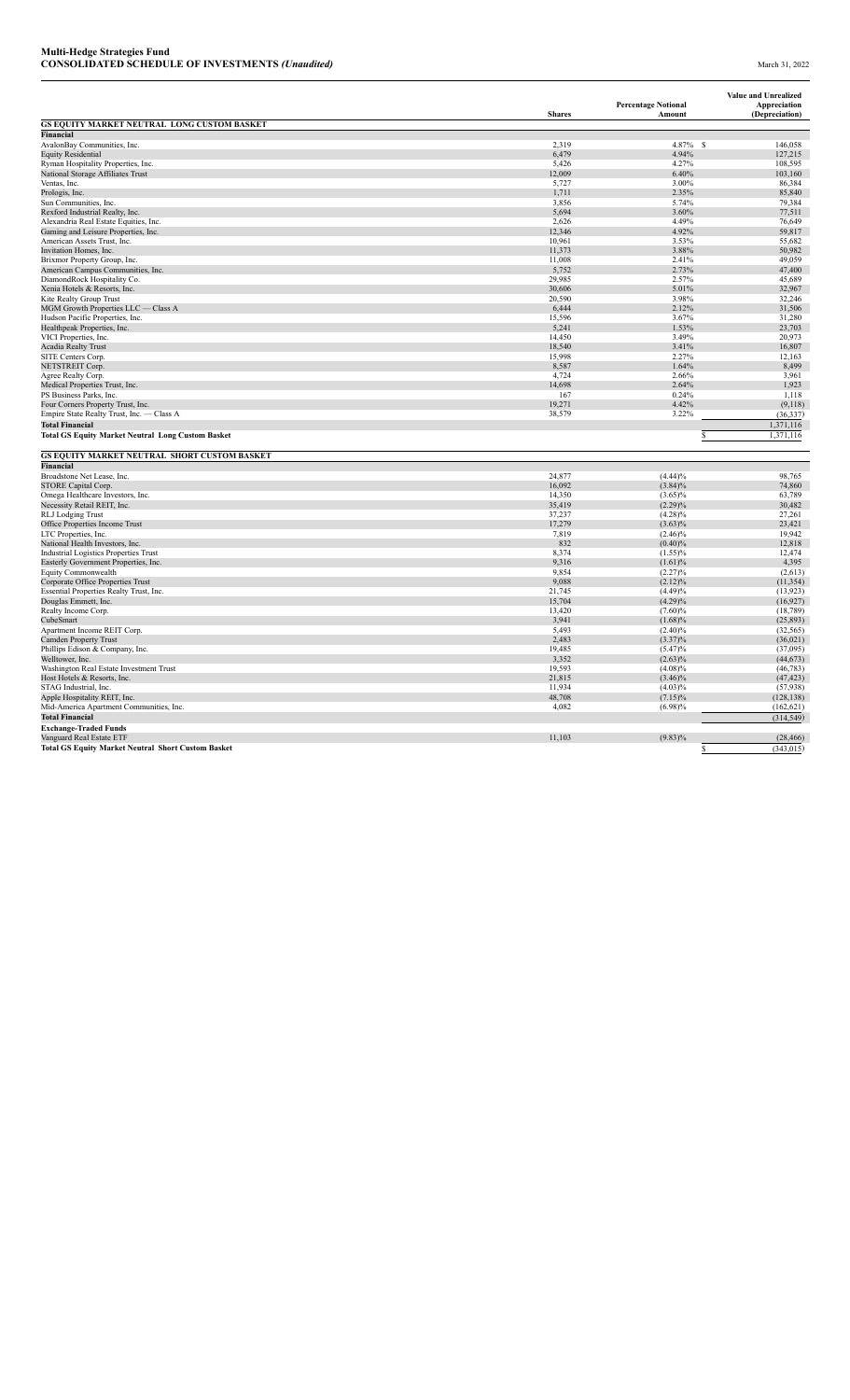|                                                                 | <b>Shares</b>    | <b>Percentage Notional</b><br>Amount | <b>Value and Unrealized</b><br>Appreciation<br>(Depreciation) |
|-----------------------------------------------------------------|------------------|--------------------------------------|---------------------------------------------------------------|
| GS EQUITY MARKET NEUTRAL LONG CUSTOM BASKET                     |                  |                                      |                                                               |
| <b>Financial</b>                                                |                  |                                      |                                                               |
| AvalonBay Communities, Inc.                                     | 2,319            | $4.87\%$ \$                          | 146,058                                                       |
| <b>Equity Residential</b>                                       | 6,479            | 4.94%                                | 127,215                                                       |
| Ryman Hospitality Properties, Inc.                              | 5,426            | 4.27%                                | 108,595                                                       |
| National Storage Affiliates Trust                               | 12,009           | 6.40%                                | 103,160                                                       |
| Ventas, Inc.                                                    | 5,727            | 3.00%                                | 86,384                                                        |
| Prologis, Inc.                                                  | 1,711            | 2.35%                                | 85,840                                                        |
| Sun Communities, Inc.                                           | 3,856            | 5.74%                                | 79,384                                                        |
| Rexford Industrial Realty, Inc.                                 | 5,694            | 3.60%                                | 77,511                                                        |
| Alexandria Real Estate Equities, Inc.                           | 2,626            | 4.49%                                | 76,649                                                        |
| Gaming and Leisure Properties, Inc.                             | 12,346           | 4.92%                                | 59,817                                                        |
| American Assets Trust, Inc.                                     | 10,961           | 3.53%                                | 55,682                                                        |
| Invitation Homes, Inc.                                          | 11,373           | 3.88%                                | 50,982                                                        |
| Brixmor Property Group, Inc.                                    | 11,008           | 2.41%                                | 49,059<br>47,400                                              |
| American Campus Communities, Inc.                               | 5,752            | 2.73%<br>2.57%                       |                                                               |
| DiamondRock Hospitality Co.                                     | 29,985           |                                      | 45,689                                                        |
| Xenia Hotels & Resorts, Inc.                                    | 30,606           | 5.01%<br>3.98%                       | 32,967                                                        |
| Kite Realty Group Trust                                         | 20,590<br>6,444  | 2.12%                                | 32,246<br>31,506                                              |
| MGM Growth Properties LLC - Class A                             |                  |                                      |                                                               |
| Hudson Pacific Properties, Inc.                                 | 15,596           | 3.67%                                | 31,280                                                        |
| Healthpeak Properties, Inc.                                     | 5,241<br>14,450  | 1.53%<br>3.49%                       | 23,703<br>20,973                                              |
| VICI Properties, Inc.                                           |                  |                                      |                                                               |
| <b>Acadia Realty Trust</b>                                      | 18,540           | 3.41%                                | 16,807                                                        |
| SITE Centers Corp.                                              | 15,998           | 2.27%<br>1.64%                       | 12,163<br>8,499                                               |
| NETSTREIT Corp.                                                 | 8,587            | 2.66%                                |                                                               |
| Agree Realty Corp.                                              | 4,724            |                                      | 3,961                                                         |
| Medical Properties Trust, Inc.                                  | 14,698           | 2.64%                                | 1,923                                                         |
| PS Business Parks, Inc.                                         | 167<br>19,271    | 0.24%<br>4.42%                       | 1,118                                                         |
| Four Corners Property Trust, Inc.                               |                  | 3.22%                                | (9,118)                                                       |
| Empire State Realty Trust, Inc. - Class A                       | 38,579           |                                      | (36, 337)                                                     |
| <b>Total Financial</b>                                          |                  |                                      | 1,371,116                                                     |
| <b>Total GS Equity Market Neutral Long Custom Basket</b>        |                  |                                      | 1,371,116                                                     |
|                                                                 |                  |                                      |                                                               |
| GS EQUITY MARKET NEUTRAL SHORT CUSTOM BASKET                    |                  |                                      |                                                               |
| <b>Financial</b>                                                |                  |                                      |                                                               |
| Broadstone Net Lease, Inc.                                      | 24,877           | (4.44)%                              | 98,765                                                        |
| STORE Capital Corp.                                             | 16,092           | $(3.84)\%$                           | 74,860                                                        |
| Omega Healthcare Investors, Inc.                                | 14,350           | $(3.65)\%$                           | 63,789                                                        |
| Necessity Retail REIT, Inc.                                     | 35,419<br>37,237 | $(2.29)\%$                           | 30,482<br>27,261                                              |
| <b>RLJ</b> Lodging Trust                                        |                  | $(4.28)\%$                           |                                                               |
| Office Properties Income Trust                                  | 17,279<br>7,819  | $(3.63)\%$                           | 23,421<br>19,942                                              |
| LTC Properties, Inc.                                            | 832              | $(2.46)\%$                           |                                                               |
| National Health Investors, Inc.                                 | 8,374            | $(0.40)\%$                           | 12,818<br>12,474                                              |
| <b>Industrial Logistics Properties Trust</b>                    | 9,316            | $(1.55)\%$                           | 4,395                                                         |
| Easterly Government Properties, Inc.<br>Equity Commonwealth     | 9,854            | (1.61)%<br>(2.27)%                   | (2,613)                                                       |
|                                                                 | 9,088            | (2.12)%                              |                                                               |
| Corporate Office Properties Trust                               | 21,745           | (4.49)%                              | (11, 354)<br>(13, 923)                                        |
| Essential Properties Realty Trust, Inc.<br>Douglas Emmett, Inc. | 15,704           | $(4.29)\%$                           | (16, 927)                                                     |
| Realty Income Corp.                                             | 13,420           | (7.60)%                              | (18, 789)                                                     |
| CubeSmart                                                       | 3,941            | $(1.68)\%$                           |                                                               |
| Apartment Income REIT Corp.                                     | 5,493            | $(2.40)\%$                           | (25, 893)<br>(32, 565)                                        |
| Camden Property Trust                                           | 2,483            | $(3.37)\%$                           | (36, 021)                                                     |
| Phillips Edison & Company, Inc.                                 | 19,485           | (5.47)%                              | (37,095)                                                      |
| Welltower, Inc.                                                 | 3,352            | $(2.63)\%$                           | (44, 673)                                                     |
| Washington Real Estate Investment Trust                         | 19,593           |                                      |                                                               |
| Host Hotels & Resorts, Inc.                                     | 21,815           | (4.08)%<br>$(3.46)\%$                | (46, 783)<br>(47, 423)                                        |
|                                                                 | 11,934           |                                      |                                                               |
| STAG Industrial, Inc.<br>Apple Hospitality REIT, Inc.           | 48,708           | $(4.03)\%$<br>$(7.15)\%$             | (57, 938)<br>(128, 138)                                       |
|                                                                 |                  |                                      |                                                               |
| Mid-America Apartment Communities, Inc.                         | 4,082            | $(6.98)\%$                           | (162, 621)                                                    |
| <b>Total Financial</b>                                          |                  |                                      | (314, 549)                                                    |
| <b>Exchange-Traded Funds</b>                                    |                  |                                      |                                                               |
| Vanguard Real Estate ETF                                        | 11,103           | $(9.83)\%$                           | (28, 466)                                                     |
| <b>Total GS Equity Market Neutral Short Custom Basket</b>       |                  |                                      | (343, 015)                                                    |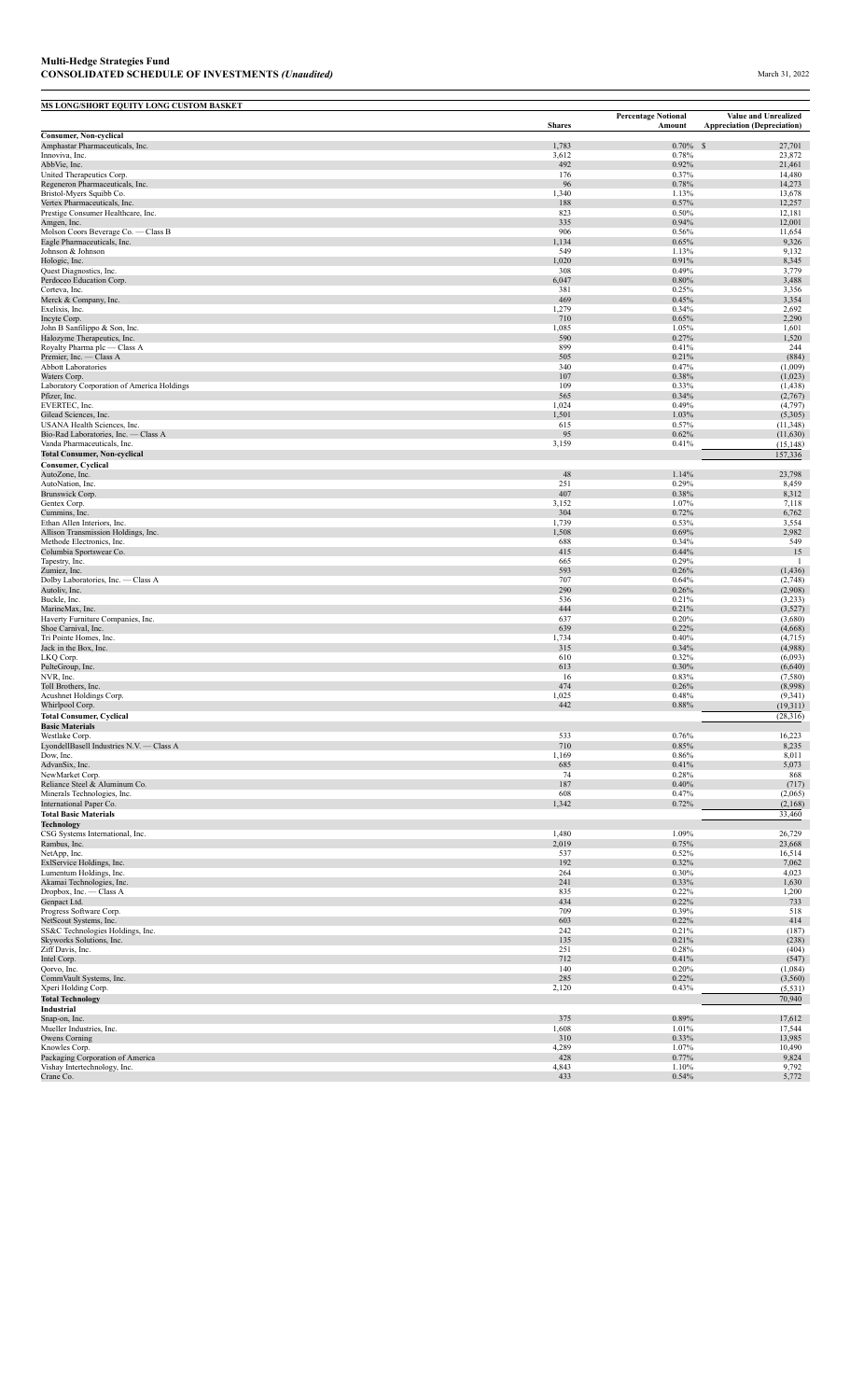## **Multi-Hedge Strategies Fund CONSOLIDATED SCHEDULE OF INVESTMENTS** *(Unaudited)* March 31, 2022

| MS LONG/SHORT EQUITY LONG CUSTOM BASKET                             |                |                                      |                                                                   |
|---------------------------------------------------------------------|----------------|--------------------------------------|-------------------------------------------------------------------|
|                                                                     | <b>Shares</b>  | <b>Percentage Notional</b><br>Amount | <b>Value and Unrealized</b><br><b>Appreciation (Depreciation)</b> |
| <b>Consumer, Non-cyclical</b>                                       |                |                                      |                                                                   |
| Amphastar Pharmaceuticals, Inc.<br>Innoviva, Inc.                   | 1,783<br>3,612 | $0.70\%$ \$<br>0.78%                 | 27,701<br>23,872                                                  |
| AbbVie, Inc.                                                        | 492            | 0.92%                                | 21,461                                                            |
| United Therapeutics Corp.<br>Regeneron Pharmaceuticals, Inc.        | 176<br>96      | 0.37%<br>0.78%                       | 14,480<br>14,273                                                  |
| Bristol-Myers Squibb Co.                                            | 1,340          | 1.13%                                | 13,678                                                            |
| Vertex Pharmaceuticals, Inc.                                        | 188            | 0.57%                                | 12,257                                                            |
| Prestige Consumer Healthcare, Inc.<br>Amgen, Inc.                   | 823<br>335     | 0.50%<br>0.94%                       | 12,181<br>12,001                                                  |
| Molson Coors Beverage Co. - Class B                                 | 906            | 0.56%                                | 11,654                                                            |
| Eagle Pharmaceuticals, Inc.<br>Johnson & Johnson                    | 1,134<br>549   | 0.65%<br>1.13%                       | 9,326<br>9,132                                                    |
| Hologic, Inc.                                                       | 1,020          | 0.91%                                | 8,345                                                             |
| Quest Diagnostics, Inc.                                             | 308            | 0.49%                                | 3,779                                                             |
| Perdoceo Education Corp.<br>Corteva, Inc.                           | 6,047<br>381   | $0.80\%$<br>0.25%                    | 3,488<br>3,356                                                    |
| Merck & Company, Inc.                                               | 469            | 0.45%                                | 3,354                                                             |
| Exelixis, Inc.                                                      | 1,279          | 0.34%                                | 2,692                                                             |
| Incyte Corp.<br>John B Sanfilippo & Son, Inc.                       | 710<br>1,085   | 0.65%<br>1.05%                       | 2,290<br>1,601                                                    |
| Halozyme Therapeutics, Inc.                                         | 590            | 0.27%                                | 1,520                                                             |
| Royalty Pharma plc - Class A                                        | 899            | 0.41%                                | 244                                                               |
| Premier, Inc. - Class A<br><b>Abbott Laboratories</b>               | 505<br>340     | 0.21%<br>0.47%                       | (884)<br>(1,009)                                                  |
| Waters Corp.                                                        | 107            | 0.38%                                | (1,023)                                                           |
| Laboratory Corporation of America Holdings                          | 109            | 0.33%                                | (1, 438)                                                          |
| Pfizer, Inc.<br>EVERTEC, Inc.                                       | 565<br>1,024   | 0.34%<br>0.49%                       | (2,767)<br>(4,797)                                                |
| Gilead Sciences, Inc.                                               | 1,501          | 1.03%                                | (5,305)                                                           |
| USANA Health Sciences, Inc.<br>Bio-Rad Laboratories, Inc. - Class A | 615<br>95      | 0.57%                                | (11, 348)                                                         |
| Vanda Pharmaceuticals, Inc.                                         | 3,159          | 0.62%<br>0.41%                       | (11, 630)<br>(15, 148)                                            |
| <b>Total Consumer, Non-cyclical</b>                                 |                |                                      | 157,336                                                           |
| <b>Consumer, Cyclical</b>                                           |                |                                      |                                                                   |
| AutoZone, Inc.<br>AutoNation, Inc.                                  | 48<br>251      | 1.14%<br>0.29%                       | 23,798<br>8,459                                                   |
| Brunswick Corp.                                                     | 407            | 0.38%                                | 8,312                                                             |
| Gentex Corp.                                                        | 3,152          | 1.07%                                | 7,118                                                             |
| Cummins, Inc.<br>Ethan Allen Interiors, Inc.                        | 304<br>1,739   | 0.72%<br>0.53%                       | 6,762<br>3,554                                                    |
| Allison Transmission Holdings, Inc.                                 | 1,508          | 0.69%                                | 2,982                                                             |
| Methode Electronics, Inc.                                           | 688            | 0.34%                                | 549<br>15                                                         |
| Columbia Sportswear Co.<br>Tapestry, Inc.                           | 415<br>665     | 0.44%<br>0.29%                       | -1                                                                |
| Zumiez, Inc.                                                        | 593            | 0.26%                                | (1, 436)                                                          |
| Dolby Laboratories, Inc. - Class A                                  | 707<br>290     | 0.64%<br>0.26%                       | (2,748)<br>(2,908)                                                |
| Autoliv, Inc.<br>Buckle, Inc.                                       | 536            | 0.21%                                | (3,233)                                                           |
| MarineMax, Inc.                                                     | 444            | 0.21%                                | (3,527)                                                           |
| Haverty Furniture Companies, Inc.<br>Shoe Carnival, Inc.            | 637<br>639     | 0.20%<br>0.22%                       | (3,680)<br>(4,668)                                                |
| Tri Pointe Homes, Inc.                                              | 1,734          | 0.40%                                | (4,715)                                                           |
| Jack in the Box, Inc.                                               | 315            | 0.34%                                | (4,988)                                                           |
| LKQ Corp.<br>PulteGroup, Inc.                                       | 610<br>613     | 0.32%<br>0.30%                       | (6,093)<br>(6,640)                                                |
| NVR, Inc.                                                           | 16             | 0.83%                                | (7,580)                                                           |
| Toll Brothers, Inc.                                                 | 474            | 0.26%                                | (8,998)                                                           |
| Acushnet Holdings Corp.<br>Whirlpool Corp.                          | 1,025<br>442   | 0.48%<br>0.88%                       | (9, 341)<br>(19, 311)                                             |
| <b>Total Consumer, Cyclical</b>                                     |                |                                      | (28, 316)                                                         |
| <b>Basic Materials</b>                                              |                |                                      |                                                                   |
| Westlake Corp.<br>LyondellBasell Industries N.V. - Class A          | 533<br>710     | 0.76%<br>0.85%                       | 16,223<br>8,235                                                   |
| Dow, Inc.                                                           | 1,169          | 0.86%                                | 8,011                                                             |
| AdvanSix, Inc.                                                      | 685            | 0.41%                                | 5,073                                                             |
| NewMarket Corp.<br>Reliance Steel & Aluminum Co.                    | 74<br>187      | 0.28%<br>0.40%                       | 868<br>(717)                                                      |
| Minerals Technologies, Inc.                                         | 608            | 0.47%                                | (2,065)                                                           |
| International Paper Co.                                             | 1,342          | 0.72%                                | (2,168)                                                           |
| <b>Total Basic Materials</b><br><b>Technology</b>                   |                |                                      | 33,460                                                            |
| CSG Systems International, Inc.                                     | 1,480          | 1.09%                                | 26,729                                                            |
| Rambus, Inc.                                                        | 2,019          | 0.75%                                | 23,668                                                            |
| NetApp, Inc.<br>ExlService Holdings, Inc.                           | 537<br>192     | 0.52%<br>0.32%                       | 16,514<br>7,062                                                   |
| Lumentum Holdings, Inc.                                             | 264            | 0.30%                                | 4,023                                                             |
| Akamai Technologies, Inc.                                           | 241            | 0.33%                                | 1,630                                                             |
| Dropbox, Inc. - Class A<br>Genpact Ltd.                             | 835<br>434     | 0.22%<br>0.22%                       | 1,200<br>733                                                      |
| Progress Software Corp.                                             | 709            | 0.39%                                | 518                                                               |
| NetScout Systems, Inc.                                              | 603            | 0.22%                                | 414                                                               |
| SS&C Technologies Holdings, Inc.<br>Skyworks Solutions, Inc.        | 242<br>135     | 0.21%<br>0.21%                       | (187)<br>(238)                                                    |
| Ziff Davis, Inc.                                                    | 251            | 0.28%                                | (404)                                                             |
| Intel Corp.                                                         | 712            | 0.41%                                | (547)                                                             |
| Qorvo, Inc.<br>CommVault Systems, Inc.                              | 140<br>285     | 0.20%<br>0.22%                       | (1,084)<br>(3, 560)                                               |
| Xperi Holding Corp.                                                 | 2,120          | 0.43%                                | (5, 531)                                                          |
| <b>Total Technology</b>                                             |                |                                      | 70,940                                                            |
| Industrial<br>Snap-on, Inc.                                         | 375            | 0.89%                                | 17,612                                                            |
| Mueller Industries, Inc.                                            | 1,608          | 1.01%                                | 17,544                                                            |
| Owens Corning                                                       | 310            | 0.33%                                | 13,985                                                            |
| Knowles Corp.<br>Packaging Corporation of America                   | 4,289<br>428   | 1.07%<br>0.77%                       | 10,490<br>9,824                                                   |
| Vishay Intertechnology, Inc.                                        | 4,843          | 1.10%                                | 9,792                                                             |
| Crane Co.                                                           | 433            | 0.54%                                | 5,772                                                             |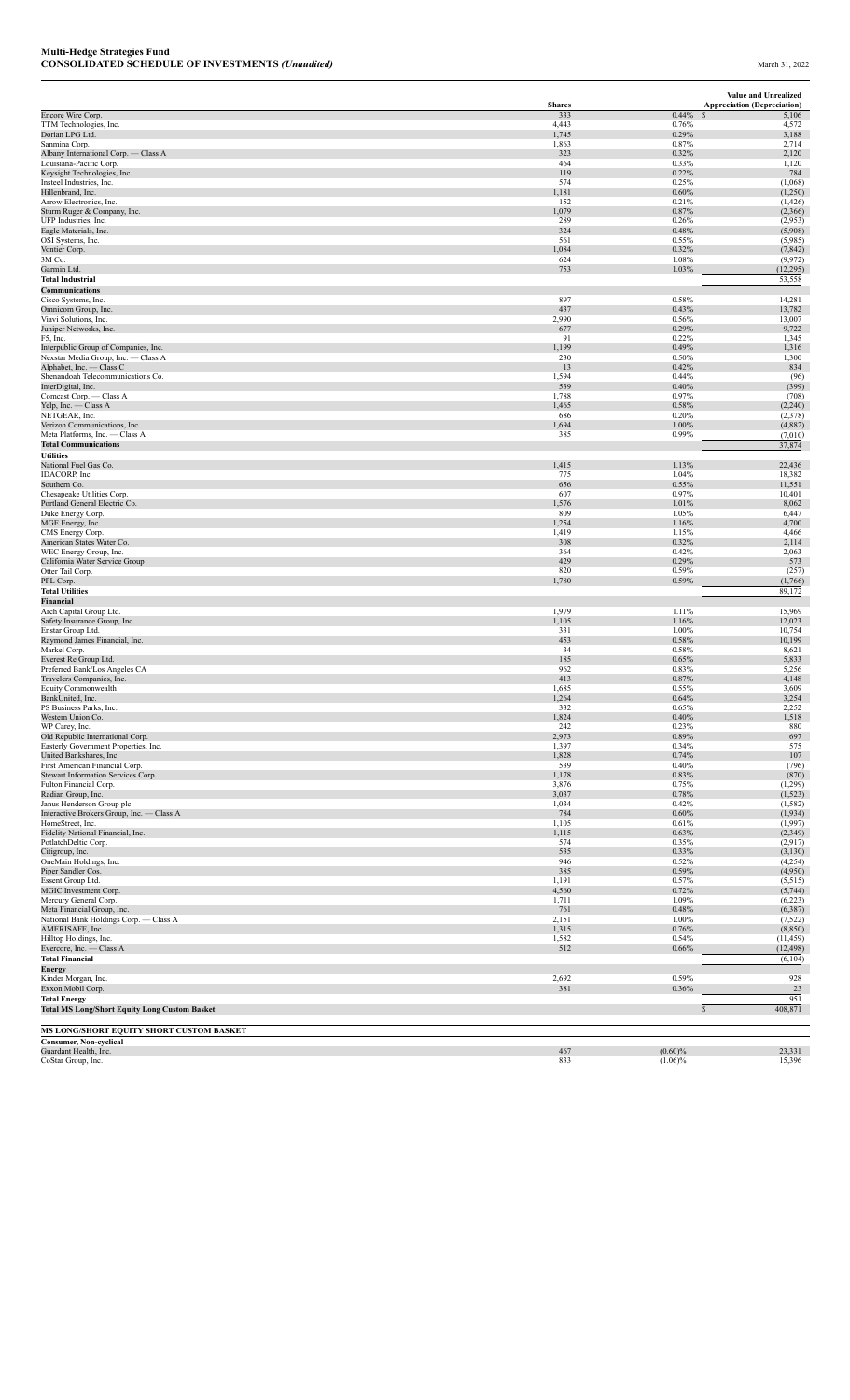|                                                                             |                      |                | Value and Unrealized                        |
|-----------------------------------------------------------------------------|----------------------|----------------|---------------------------------------------|
| Encore Wire Corp.                                                           | <b>Shares</b><br>333 | 0.44%          | <b>Appreciation (Depreciation)</b><br>5,106 |
| TTM Technologies, Inc.                                                      | 4,443                | 0.76%          | 4,572                                       |
| Dorian LPG Ltd.<br>Sanmina Corp.                                            | 1,745<br>1,863       | 0.29%<br>0.87% | 3,188<br>2,714                              |
| Albany International Corp. - Class A                                        | 323                  | 0.32%          | 2,120                                       |
| Louisiana-Pacific Corp.                                                     | 464                  | 0.33%          | 1,120                                       |
| Keysight Technologies, Inc.<br>Insteel Industries, Inc.                     | 119<br>574           | 0.22%<br>0.25% | 784<br>(1,068)                              |
| Hillenbrand, Inc.                                                           | 1,181                | 0.60%          | (1,250)                                     |
| Arrow Electronics, Inc.                                                     | 152                  | 0.21%          | (1, 426)                                    |
| Sturm Ruger & Company, Inc.<br>UFP Industries, Inc.                         | 1,079<br>289         | 0.87%<br>0.26% | (2,366)<br>(2,953)                          |
| Eagle Materials, Inc.                                                       | 324                  | 0.48%          | (5,908)                                     |
| OSI Systems, Inc.                                                           | 561                  | 0.55%          | (5,985)                                     |
| Vontier Corp.                                                               | 1,084                | 0.32%          | (7, 842)                                    |
| 3M Co.<br>Garmin Ltd.                                                       | 624<br>753           | 1.08%<br>1.03% | (9, 972)<br>(12, 295)                       |
| <b>Total Industrial</b>                                                     |                      |                | 53,558                                      |
| Communications                                                              |                      |                |                                             |
| Cisco Systems, Inc.                                                         | 897<br>437           | 0.58%<br>0.43% | 14,281                                      |
| Omnicom Group, Inc.<br>Viavi Solutions, Inc.                                | 2,990                | 0.56%          | 13,782<br>13,007                            |
| Juniper Networks, Inc.                                                      | 677                  | 0.29%          | 9,722                                       |
| F5, Inc.                                                                    | 91                   | 0.22%          | 1,345                                       |
| Interpublic Group of Companies, Inc.<br>Nexstar Media Group, Inc. - Class A | 1,199<br>230         | 0.49%<br>0.50% | 1,316<br>1,300                              |
| Alphabet, Inc. - Class C                                                    | 13                   | 0.42%          | 834                                         |
| Shenandoah Telecommunications Co.                                           | 1,594                | 0.44%          | (96)                                        |
| InterDigital, Inc.<br>Comcast Corp. - Class A                               | 539<br>1,788         | 0.40%<br>0.97% | (399)<br>(708)                              |
| Yelp, Inc. - Class A                                                        | 1,465                | 0.58%          | (2,240)                                     |
| NETGEAR, Inc.                                                               | 686                  | 0.20%          | (2,378)                                     |
| Verizon Communications, Inc.                                                | 1,694                | 1.00%          | (4,882)                                     |
| Meta Platforms, Inc. - Class A<br><b>Total Communications</b>               | 385                  | 0.99%          | (7,010)<br>37,874                           |
| <b>Utilities</b>                                                            |                      |                |                                             |
| National Fuel Gas Co.                                                       | 1,415                | 1.13%          | 22,436                                      |
| IDACORP, Inc.                                                               | 775                  | 1.04%          | 18,382                                      |
| Southern Co.<br>Chesapeake Utilities Corp.                                  | 656<br>607           | 0.55%<br>0.97% | 11,551<br>10,401                            |
| Portland General Electric Co.                                               | 1,576                | 1.01%          | 8,062                                       |
| Duke Energy Corp.                                                           | 809                  | 1.05%          | 6,447                                       |
| MGE Energy, Inc.<br>CMS Energy Corp.                                        | 1,254<br>1,419       | 1.16%<br>1.15% | 4,700<br>4,466                              |
| American States Water Co.                                                   | 308                  | 0.32%          | 2,114                                       |
| WEC Energy Group, Inc.                                                      | 364                  | 0.42%          | 2,063                                       |
| California Water Service Group                                              | 429<br>820           | 0.29%          | 573                                         |
| Otter Tail Corp.<br>PPL Corp.                                               | 1,780                | 0.59%<br>0.59% | (257)<br>(1,766)                            |
| <b>Total Utilities</b>                                                      |                      |                | 89,172                                      |
| Financial                                                                   |                      |                |                                             |
| Arch Capital Group Ltd.                                                     | 1,979                | 1.11%          | 15,969<br>12,023                            |
| Safety Insurance Group, Inc.<br>Enstar Group Ltd.                           | 1,105<br>331         | 1.16%<br>1.00% | 10,754                                      |
| Raymond James Financial, Inc.                                               | 453                  | 0.58%          | 10,199                                      |
| Markel Corp.                                                                | 34                   | 0.58%          | 8,621                                       |
| Everest Re Group Ltd.<br>Preferred Bank/Los Angeles CA                      | 185<br>962           | 0.65%<br>0.83% | 5,833<br>5,256                              |
| Travelers Companies, Inc.                                                   | 413                  | 0.87%          | 4,148                                       |
| Equity Commonwealth                                                         | 1,685                | 0.55%          | 3,609                                       |
| BankUnited, Inc.                                                            | 1,264                | 0.64%          | 3,254                                       |
| PS Business Parks, Inc.<br>Western Union Co.                                | 332<br>1,824         | 0.65%<br>0.40% | 2,252<br>1,518                              |
| WP Carey, Inc.                                                              | 242                  | 0.23%          | 880                                         |
| Old Republic International Corp.                                            | 2,973                | 0.89%          | 697                                         |
| Easterly Government Properties, Inc.<br>United Bankshares, Inc.             | 1,397<br>1,828       | 0.34%<br>0.74% | 575<br>107                                  |
| First American Financial Corp.                                              | 539                  | 0.40%          | (796)                                       |
| Stewart Information Services Corp.                                          | 1,178                | 0.83%          | (870)                                       |
| Fulton Financial Corp.                                                      | 3,876                | 0.75%          | (1,299)                                     |
| Radian Group, Inc.<br>Janus Henderson Group plc                             | 3,037<br>1,034       | 0.78%<br>0.42% | (1, 523)<br>(1, 582)                        |
| Interactive Brokers Group, Inc. - Class A                                   | 784                  | 0.60%          | (1,934)                                     |
| HomeStreet, Inc.                                                            | 1,105                | 0.61%          | (1,997)                                     |
| Fidelity National Financial, Inc.<br>PotlatchDeltic Corp.                   | 1,115<br>574         | 0.63%<br>0.35% | (2,349)<br>(2,917)                          |
| Citigroup, Inc.                                                             | 535                  | 0.33%          | (3, 130)                                    |
| OneMain Holdings, Inc.                                                      | 946                  | 0.52%          | (4,254)                                     |
| Piper Sandler Cos.                                                          | 385<br>1,191         | 0.59%          | (4,950)                                     |
| Essent Group Ltd.<br>MGIC Investment Corp.                                  | 4,560                | 0.57%<br>0.72% | (5, 515)<br>(5,744)                         |
| Mercury General Corp.                                                       | 1,711                | 1.09%          | (6,223)                                     |
| Meta Financial Group, Inc.                                                  | 761                  | 0.48%          | (6, 387)                                    |
| National Bank Holdings Corp. - Class A<br>AMERISAFE, Inc.                   | 2,151<br>1,315       | 1.00%<br>0.76% | (7, 522)<br>(8, 850)                        |
| Hilltop Holdings, Inc.                                                      | 1,582                | 0.54%          | (11, 459)                                   |
| Evercore, Inc. - Class A                                                    | 512                  | 0.66%          | (12, 498)                                   |
| <b>Total Financial</b>                                                      |                      |                | (6, 104)                                    |
| Energy<br>Kinder Morgan, Inc.                                               | 2,692                | 0.59%          | 928                                         |
| Exxon Mobil Corp.                                                           | 381                  | 0.36%          | 23                                          |
| <b>Total Energy</b>                                                         |                      |                | 951                                         |
| <b>Total MS Long/Short Equity Long Custom Basket</b>                        |                      |                | 408,871<br>$\mathcal{S}$                    |
| MS LONG/SHORT EQUITY SHORT CUSTOM BASKET                                    |                      |                |                                             |
| <b>Consumer, Non-cyclical</b>                                               |                      |                |                                             |
| Guardant Health, Inc.                                                       | 467                  | $(0.60)\%$     | 23,331                                      |

CoStar Group, Inc. 2008. 2008. The contract of the cost of the cost of the cost of the cost of the cost of the cost of the cost of the cost of the cost of the cost of the cost of the cost of the cost of the cost of the cos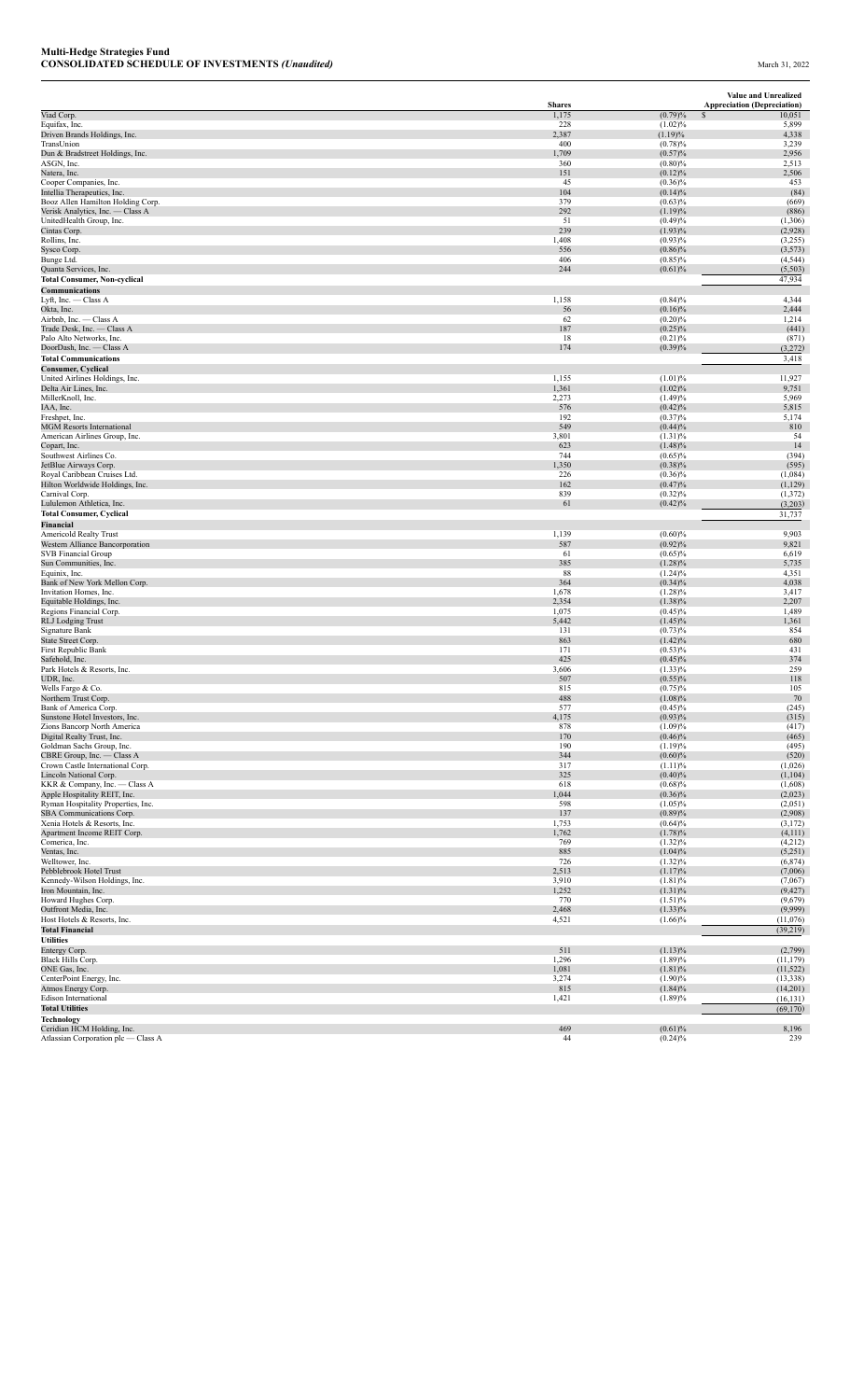|                                                                 |                        |                          | Value and Unrealized                         |
|-----------------------------------------------------------------|------------------------|--------------------------|----------------------------------------------|
| Viad Corp.                                                      | <b>Shares</b><br>1,175 | (0.79)%                  | <b>Appreciation (Depreciation)</b><br>10,051 |
| Equifax, Inc.                                                   | 228                    | (1.02)%                  | 5,899                                        |
| Driven Brands Holdings, Inc.                                    | 2,387                  | (1.19)%                  | 4,338                                        |
| TransUnion<br>Dun & Bradstreet Holdings, Inc.                   | 400<br>1,709           | (0.78)%<br>(0.57)%       | 3,239<br>2,956                               |
| ASGN, Inc.                                                      | 360                    | $(0.80)\%$               | 2,513                                        |
| Natera, Inc.                                                    | 151<br>45              | $(0.12)\%$<br>$(0.36)\%$ | 2,506<br>453                                 |
| Cooper Companies, Inc.<br>Intellia Therapeutics, Inc.           | 104                    | $(0.14)\%$               | (84)                                         |
| Booz Allen Hamilton Holding Corp.                               | 379                    | (0.63)%                  | (669)                                        |
| Verisk Analytics, Inc. - Class A                                | 292<br>51              | (1.19)%                  | (886)                                        |
| UnitedHealth Group, Inc.<br>Cintas Corp.                        | 239                    | (0.49)%<br>$(1.93)\%$    | (1,306)<br>(2,928)                           |
| Rollins, Inc.                                                   | 1,408                  | $(0.93)\%$               | (3,255)                                      |
| Sysco Corp.                                                     | 556                    | $(0.86)\%$               | (3,573)                                      |
| Bunge Ltd.<br>Quanta Services, Inc.                             | 406<br>244             | $(0.85)\%$<br>(0.61)%    | (4, 544)<br>(5,503)                          |
| <b>Total Consumer, Non-cyclical</b>                             |                        |                          | 47,934                                       |
| Communications                                                  |                        |                          |                                              |
| Lyft, Inc. - Class A                                            | 1,158                  | (0.84)%                  | 4,344                                        |
| Okta, Inc.<br>Airbnb, Inc. - Class A                            | 56<br>62               | $(0.16)\%$<br>$(0.20)\%$ | 2,444<br>1,214                               |
| Trade Desk, Inc. - Class A                                      | 187                    | $(0.25)\%$               | (441)                                        |
| Palo Alto Networks, Inc.                                        | 18                     | (0.21)%                  | (871)                                        |
| DoorDash, Inc. - Class A<br><b>Total Communications</b>         | 174                    | (0.39)%                  | (3,272)<br>3,418                             |
| <b>Consumer, Cyclical</b>                                       |                        |                          |                                              |
| United Airlines Holdings, Inc.                                  | 1,155                  | (1.01)%                  | 11,927                                       |
| Delta Air Lines, Inc.                                           | 1,361                  | (1.02)%                  | 9,751                                        |
| MillerKnoll, Inc.<br>IAA, Inc.                                  | 2,273<br>576           | (1.49)%<br>(0.42)%       | 5,969<br>5,815                               |
| Freshpet, Inc.                                                  | 192                    | (0.37)%                  | 5,174                                        |
| <b>MGM Resorts International</b>                                | 549                    | (0.44)%                  | 810                                          |
| American Airlines Group, Inc.<br>Copart, Inc.                   | 3,801<br>623           | $(1.31)\%$<br>$(1.48)\%$ | 54<br>14                                     |
| Southwest Airlines Co.                                          | 744                    | $(0.65)\%$               | (394)                                        |
| JetBlue Airways Corp.                                           | 1,350                  | $(0.38)\%$               | (595)                                        |
| Royal Caribbean Cruises Ltd.<br>Hilton Worldwide Holdings, Inc. | 226<br>162             | $(0.36)\%$<br>(0.47)%    | (1,084)<br>(1,129)                           |
| Carnival Corp.                                                  | 839                    | $(0.32)\%$               | (1, 372)                                     |
| Lululemon Athletica, Inc.                                       | 61                     | (0.42)%                  | (3,203)                                      |
| <b>Total Consumer, Cyclical</b>                                 |                        |                          | 31,737                                       |
| Financial<br>Americold Realty Trust                             | 1,139                  | (0.60)%                  | 9,903                                        |
| Western Alliance Bancorporation                                 | 587                    | (0.92)%                  | 9,821                                        |
| SVB Financial Group                                             | 61                     | $(0.65)\%$               | 6,619                                        |
| Sun Communities, Inc.<br>Equinix, Inc.                          | 385<br>88              | $(1.28)\%$<br>$(1.24)\%$ | 5,735<br>4,351                               |
| Bank of New York Mellon Corp.                                   | 364                    | $(0.34)\%$               | 4,038                                        |
| Invitation Homes, Inc.                                          | 1,678                  | $(1.28)\%$               | 3,417                                        |
| Equitable Holdings, Inc.<br>Regions Financial Corp.             | 2,354<br>1,075         | $(1.38)\%$<br>$(0.45)\%$ | 2,207<br>1,489                               |
| <b>RLJ</b> Lodging Trust                                        | 5,442                  | $(1.45)\%$               | 1,361                                        |
| Signature Bank                                                  | 131                    | (0.73)%                  | 854                                          |
| State Street Corp.<br>First Republic Bank                       | 863<br>171             | $(1.42)\%$<br>(0.53)%    | 680<br>431                                   |
| Safehold, Inc.                                                  | 425                    | $(0.45)\%$               | 374                                          |
| Park Hotels & Resorts, Inc.                                     | 3,606                  | $(1.33)\%$               | 259                                          |
| UDR, Inc.<br>Wells Fargo & Co.                                  | 507<br>815             | (0.55)%<br>$(0.75)\%$    | 118<br>105                                   |
| Northern Trust Corp.                                            | 488                    | $(1.08)\%$               | 70                                           |
| Bank of America Corp.                                           | 577                    | $(0.45)\%$               | (245)                                        |
| Sunstone Hotel Investors, Inc.<br>Zions Bancorp North America   | 4,175                  | $(0.93)\%$<br>(1.09)%    | (315)<br>(417)                               |
| Digital Realty Trust, Inc.                                      | 878<br>170             | $(0.46)\%$               | (465)                                        |
| Goldman Sachs Group, Inc.                                       | 190                    | (1.19)%                  | (495)                                        |
| CBRE Group, Inc. - Class A<br>Crown Castle International Corp.  | 344<br>317             | (0.60)%<br>(1.11)%       | (520)<br>(1,026)                             |
| Lincoln National Corp.                                          | 325                    | (0.40)%                  | (1,104)                                      |
| KKR & Company, Inc. - Class A                                   | 618                    | (0.68)%                  | (1,608)                                      |
| Apple Hospitality REIT, Inc.                                    | 1,044                  | $(0.36)\%$               | (2,023)                                      |
| Ryman Hospitality Properties, Inc.<br>SBA Communications Corp.  | 598<br>137             | $(1.05)\%$<br>(0.89)%    | (2,051)<br>(2,908)                           |
| Xenia Hotels & Resorts, Inc.                                    | 1,753                  | (0.64)%                  | (3,172)                                      |
| Apartment Income REIT Corp.                                     | 1,762                  | (1.78)%                  | (4,111)                                      |
| Comerica, Inc.<br>Ventas, Inc.                                  | 769<br>885             | $(1.32)\%$<br>(1.04)%    | (4,212)<br>(5,251)                           |
| Welltower, Inc.                                                 | 726                    | $(1.32)\%$               | (6,874)                                      |
| Pebblebrook Hotel Trust                                         | 2,513                  | (1.17)%                  | (7,006)                                      |
| Kennedy-Wilson Holdings, Inc.<br>Iron Mountain, Inc.            | 3,910<br>1,252         | (1.81)%<br>$(1.31)\%$    | (7,067)<br>(9, 427)                          |
| Howard Hughes Corp.                                             | 770                    | (1.51)%                  | (9,679)                                      |
| Outfront Media, Inc.                                            | 2,468                  | $(1.33)\%$               | (9,999)                                      |
| Host Hotels & Resorts, Inc.                                     | 4,521                  | $(1.66)\%$               | (11,076)                                     |
| <b>Total Financial</b><br><b>Utilities</b>                      |                        |                          | (39, 219)                                    |
| Entergy Corp.                                                   | 511                    | (1.13)%                  | (2,799)                                      |
| Black Hills Corp.                                               | 1,296                  | (1.89)%                  | (11, 179)                                    |
| ONE Gas, Inc.<br>CenterPoint Energy, Inc.                       | 1,081<br>3,274         | (1.81)%<br>(1.90)%       | (11, 522)<br>(13, 338)                       |
| Atmos Energy Corp.                                              | 815                    | $(1.84)\%$               | (14,201)                                     |
| Edison International                                            | 1,421                  | (1.89)%                  | (16, 131)                                    |
| <b>Total Utilities</b>                                          |                        |                          | (69, 170)                                    |
| <b>Technology</b><br>Ceridian HCM Holding, Inc.                 | 469                    | (0.61)%                  | 8,196                                        |
| Atlassian Corporation plc - Class A                             | 44                     | $(0.24)\%$               | 239                                          |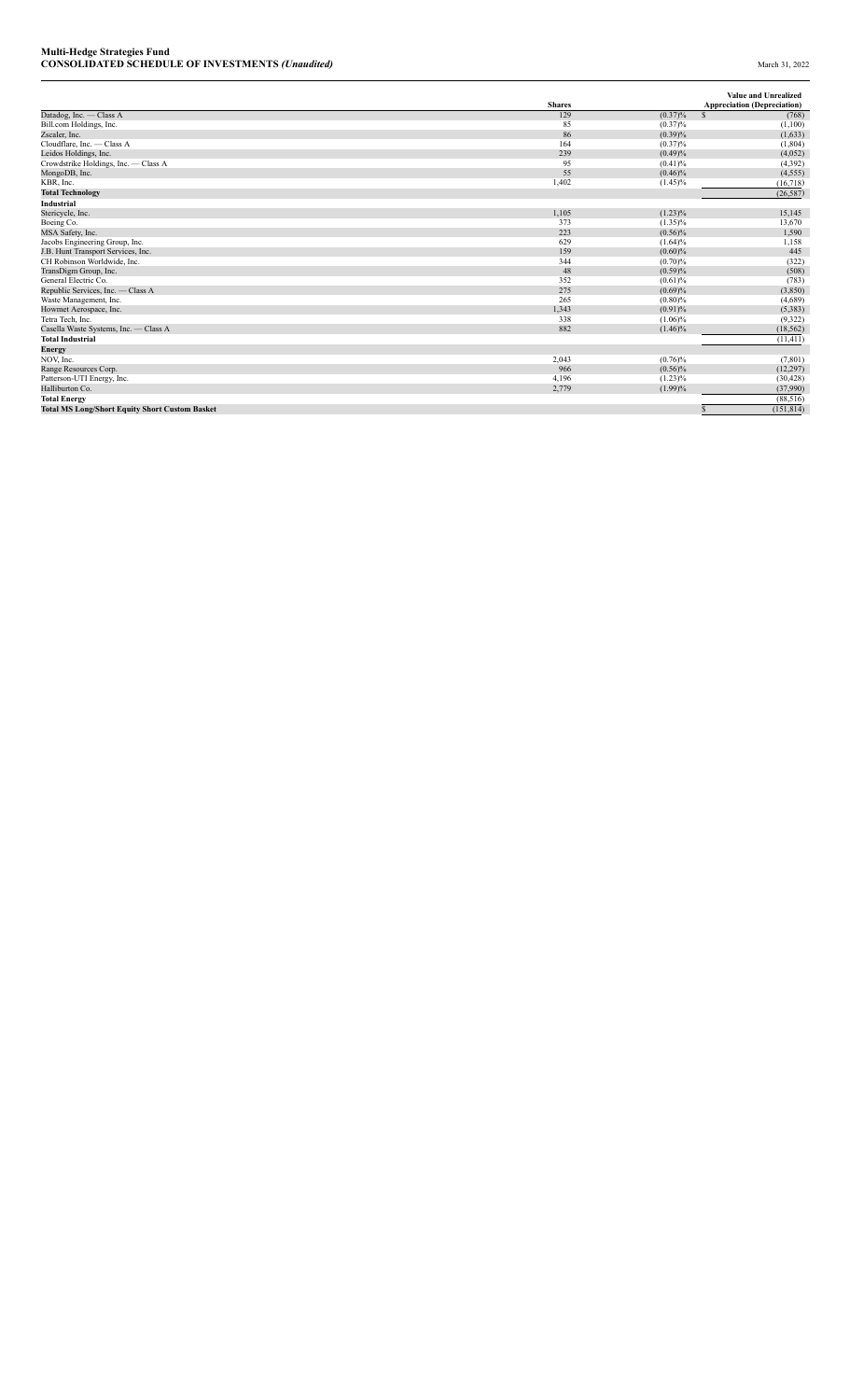|                                                       | <b>Shares</b> |            | <b>Value and Unrealized</b><br><b>Appreciation (Depreciation)</b> |
|-------------------------------------------------------|---------------|------------|-------------------------------------------------------------------|
| Datadog, Inc. - Class A                               | 129           | $(0.37)\%$ | $\mathcal{S}$<br>(768)                                            |
| Bill.com Holdings, Inc.                               | 85            | $(0.37)\%$ | (1,100)                                                           |
| Zscaler, Inc.                                         | 86            | (0.39)%    | (1,633)                                                           |
| Cloudflare, Inc. - Class A                            | 164           | $(0.37)\%$ | (1, 804)                                                          |
| Leidos Holdings, Inc.                                 | 239           | (0.49)%    | (4,052)                                                           |
| Crowdstrike Holdings, Inc. - Class A                  | 95            | (0.41)%    | (4, 392)                                                          |
| MongoDB, Inc.                                         | 55            | $(0.46)\%$ | (4, 555)                                                          |
| KBR, Inc.                                             | 1,402         | $(1.45)\%$ | (16, 718)                                                         |
| <b>Total Technology</b>                               |               |            | (26, 587)                                                         |
| Industrial                                            |               |            |                                                                   |
| Stericycle, Inc.                                      | 1,105         | $(1.23)\%$ | 15,145                                                            |
| Boeing Co.                                            | 373           | $(1.35)\%$ | 13,670                                                            |
| MSA Safety, Inc.                                      | 223           | $(0.56)\%$ | 1,590                                                             |
| Jacobs Engineering Group, Inc.                        | 629           | $(1.64)\%$ | 1,158                                                             |
| J.B. Hunt Transport Services, Inc.                    | 159           | $(0.60)\%$ | 445                                                               |
| CH Robinson Worldwide, Inc.                           | 344           | (0.70)%    | (322)                                                             |
| TransDigm Group, Inc.                                 | 48            | (0.59)%    | (508)                                                             |
| General Electric Co.                                  | 352           | (0.61)%    | (783)                                                             |
| Republic Services, Inc. - Class A                     | 275           | (0.69)%    | (3,850)                                                           |
| Waste Management, Inc.                                | 265           | $(0.80)\%$ | (4,689)                                                           |
| Howmet Aerospace, Inc.                                | 1,343         | (0.91)%    | (5, 383)                                                          |
| Tetra Tech. Inc.                                      | 338           | $(1.06)\%$ | (9, 322)                                                          |
| Casella Waste Systems, Inc. - Class A                 | 882           | $(1.46)\%$ | (18, 562)                                                         |
| <b>Total Industrial</b>                               |               |            | (11, 411)                                                         |
| Energy                                                |               |            |                                                                   |
| NOV. Inc.                                             | 2,043         | (0.76)%    | (7, 801)                                                          |
| Range Resources Corp.                                 | 966           | $(0.56)\%$ | (12, 297)                                                         |
| Patterson-UTI Energy, Inc.                            | 4,196         | $(1.23)\%$ | (30, 428)                                                         |
| Halliburton Co.                                       | 2,779         | $(1.99)\%$ | (37,990)                                                          |
| <b>Total Energy</b>                                   |               |            | (88, 516)                                                         |
| <b>Total MS Long/Short Equity Short Custom Basket</b> |               |            | (151, 814)                                                        |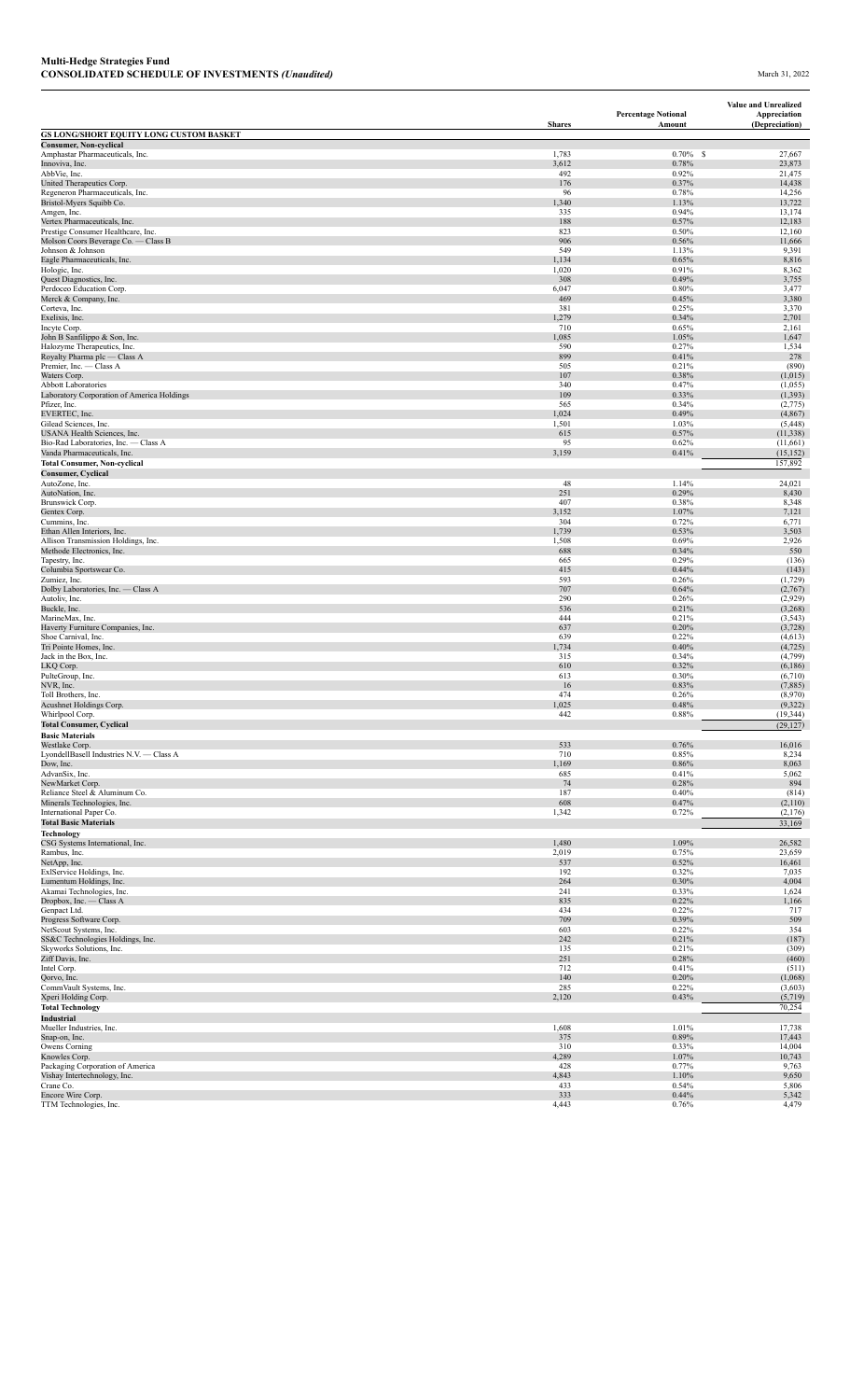|                                                                           |               | <b>Percentage Notional</b> | Value and Unrealized<br>Appreciation |
|---------------------------------------------------------------------------|---------------|----------------------------|--------------------------------------|
| GS LONG/SHORT EQUITY LONG CUSTOM BASKET                                   | <b>Shares</b> | Amount                     | (Depreciation)                       |
| <b>Consumer, Non-cyclical</b>                                             |               |                            |                                      |
| Amphastar Pharmaceuticals, Inc.                                           | 1,783         | $0.70\%$ \$                | 27,667                               |
| Innoviva, Inc.<br>AbbVie, Inc.                                            | 3,612<br>492  | 0.78%<br>0.92%             | 23,873<br>21,475                     |
| United Therapeutics Corp.                                                 | 176           | 0.37%                      | 14,438                               |
| Regeneron Pharmaceuticals, Inc.<br>Bristol-Myers Squibb Co.               | 96<br>1,340   | 0.78%<br>1.13%             | 14,256<br>13,722                     |
| Amgen, Inc.                                                               | 335           | 0.94%                      | 13,174                               |
| Vertex Pharmaceuticals, Inc.                                              | 188           | 0.57%                      | 12,183                               |
| Prestige Consumer Healthcare, Inc.<br>Molson Coors Beverage Co. - Class B | 823<br>906    | 0.50%<br>0.56%             | 12,160<br>11,666                     |
| Johnson & Johnson                                                         | 549           | 1.13%                      | 9,391                                |
| Eagle Pharmaceuticals, Inc.                                               | 1,134         | 0.65%                      | 8,816                                |
| Hologic, Inc.<br>Quest Diagnostics, Inc.                                  | 1,020<br>308  | 0.91%<br>0.49%             | 8,362<br>3,755                       |
| Perdoceo Education Corp.                                                  | 6,047         | 0.80%                      | 3,477                                |
| Merck & Company, Inc.                                                     | 469           | 0.45%                      | 3,380                                |
| Corteva, Inc.<br>Exelixis, Inc.                                           | 381<br>1,279  | 0.25%<br>0.34%             | 3,370<br>2,701                       |
| Incyte Corp.                                                              | 710           | 0.65%                      | 2,161                                |
| John B Sanfilippo & Son, Inc.                                             | 1,085<br>590  | 1.05%                      | 1,647<br>1,534                       |
| Halozyme Therapeutics, Inc.<br>Royalty Pharma plc - Class A               | 899           | 0.27%<br>0.41%             | 278                                  |
| Premier, Inc. - Class A                                                   | 505           | 0.21%                      | (890)                                |
| Waters Corp.<br><b>Abbott Laboratories</b>                                | 107<br>340    | 0.38%                      | (1,015)                              |
| Laboratory Corporation of America Holdings                                | 109           | 0.47%<br>0.33%             | (1,055)<br>(1, 393)                  |
| Pfizer, Inc.                                                              | 565           | 0.34%                      | (2,775)                              |
| EVERTEC, Inc.                                                             | 1,024         | 0.49%                      | (4, 867)                             |
| Gilead Sciences, Inc.<br>USANA Health Sciences, Inc.                      | 1,501<br>615  | 1.03%<br>0.57%             | (5, 448)<br>(11, 338)                |
| Bio-Rad Laboratories, Inc. - Class A                                      | 95            | 0.62%                      | (11,661)                             |
| Vanda Pharmaceuticals, Inc.                                               | 3,159         | 0.41%                      | (15, 152)                            |
| <b>Total Consumer, Non-cyclical</b><br><b>Consumer, Cyclical</b>          |               |                            | 157,892                              |
| AutoZone, Inc.                                                            | 48            | 1.14%                      | 24,021                               |
| AutoNation, Inc.                                                          | 251           | 0.29%                      | 8,430                                |
| Brunswick Corp.                                                           | 407           | 0.38%                      | 8,348                                |
| Gentex Corp.<br>Cummins, Inc.                                             | 3,152<br>304  | 1.07%<br>0.72%             | 7,121<br>6,771                       |
| Ethan Allen Interiors, Inc.                                               | 1,739         | 0.53%                      | 3,503                                |
| Allison Transmission Holdings, Inc.                                       | 1,508         | 0.69%                      | 2,926                                |
| Methode Electronics, Inc.<br>Tapestry, Inc.                               | 688<br>665    | 0.34%<br>0.29%             | 550<br>(136)                         |
| Columbia Sportswear Co.                                                   | 415           | 0.44%                      | (143)                                |
| Zumiez, Inc.                                                              | 593           | 0.26%                      | (1, 729)                             |
| Dolby Laboratories, Inc. - Class A<br>Autoliv, Inc.                       | 707<br>290    | 0.64%<br>0.26%             | (2,767)<br>(2,929)                   |
| Buckle, Inc.                                                              | 536           | 0.21%                      | (3,268)                              |
| MarineMax, Inc.                                                           | 444           | 0.21%                      | (3, 543)                             |
| Haverty Furniture Companies, Inc.<br>Shoe Carnival, Inc.                  | 637<br>639    | 0.20%<br>0.22%             | (3, 728)<br>(4, 613)                 |
| Tri Pointe Homes, Inc.                                                    | 1,734         | 0.40%                      | (4, 725)                             |
| Jack in the Box, Inc.                                                     | 315           | 0.34%                      | (4,799)                              |
| LKQ Corp.<br>PulteGroup, Inc.                                             | 610<br>613    | 0.32%<br>0.30%             | (6, 186)<br>(6,710)                  |
| NVR, Inc.                                                                 | 16            | 0.83%                      | (7,885)                              |
| Toll Brothers, Inc.                                                       | 474           | 0.26%                      | (8,970)                              |
| Acushnet Holdings Corp.<br>Whirlpool Corp.                                | 1,025<br>442  | 0.48%<br>0.88%             | (9, 322)<br>(19.344)                 |
| <b>Total Consumer, Cyclical</b>                                           |               |                            | (29, 127)                            |
| <b>Basic Materials</b>                                                    |               |                            |                                      |
| Westlake Corp.<br>LyondellBasell Industries N.V. - Class A                | 533<br>710    | 0.76%<br>0.85%             | 16,016<br>8,234                      |
| Dow, Inc.                                                                 | 1,169         | 0.86%                      | 8,063                                |
| AdvanSix, Inc.                                                            | 685           | 0.41%                      | 5,062                                |
| NewMarket Corp.<br>Reliance Steel & Aluminum Co.                          | 74<br>187     | 0.28%<br>0.40%             | 894<br>(814)                         |
| Minerals Technologies, Inc.                                               | 608           | 0.47%                      | (2,110)                              |
| International Paper Co.                                                   | 1,342         | 0.72%                      | (2,176)                              |
| <b>Total Basic Materials</b>                                              |               |                            | 33,169                               |
| Technology<br>CSG Systems International, Inc.                             | 1,480         | 1.09%                      | 26,582                               |
| Rambus, Inc.                                                              | 2,019         | 0.75%                      | 23,659                               |
| NetApp, Inc.                                                              | 537           | 0.52%                      | 16,461                               |
| ExlService Holdings, Inc.<br>Lumentum Holdings, Inc.                      | 192<br>264    | 0.32%<br>0.30%             | 7,035<br>4,004                       |
| Akamai Technologies, Inc.                                                 | 241           | 0.33%                      | 1,624                                |
| Dropbox, Inc. - Class A                                                   | 835           | 0.22%                      | 1,166                                |
| Genpact Ltd.<br>Progress Software Corp.                                   | 434<br>709    | 0.22%<br>0.39%             | 717<br>509                           |
| NetScout Systems, Inc.                                                    | 603           | 0.22%                      | 354                                  |
| SS&C Technologies Holdings, Inc.                                          | 242           | 0.21%                      | (187)                                |
| Skyworks Solutions, Inc.<br>Ziff Davis, Inc.                              | 135<br>251    | 0.21%<br>0.28%             | (309)<br>(460)                       |
| Intel Corp.                                                               | 712           | 0.41%                      | (511)                                |
| Qorvo, Inc.                                                               | 140           | 0.20%                      | (1,068)                              |
| CommVault Systems, Inc.<br>Xperi Holding Corp.                            | 285<br>2,120  | 0.22%<br>0.43%             | (3,603)<br>(5,719)                   |
| <b>Total Technology</b>                                                   |               |                            | 70,254                               |
| Industrial                                                                |               |                            |                                      |
| Mueller Industries, Inc.                                                  | 1,608         | 1.01%                      | 17,738                               |
| Snap-on, Inc.<br>Owens Corning                                            | 375<br>310    | 0.89%<br>0.33%             | 17,443<br>14,004                     |
| Knowles Corp.                                                             | 4,289         | 1.07%                      | 10,743                               |
| Packaging Corporation of America                                          | 428           | 0.77%                      | 9,763                                |
| Vishay Intertechnology, Inc.<br>Crane Co.                                 | 4,843<br>433  | 1.10%<br>0.54%             | 9,650<br>5,806                       |
| Encore Wire Corp.                                                         | 333           | 0.44%                      | 5,342                                |
| TTM Technologies, Inc.                                                    | 4,443         | 0.76%                      | 4,479                                |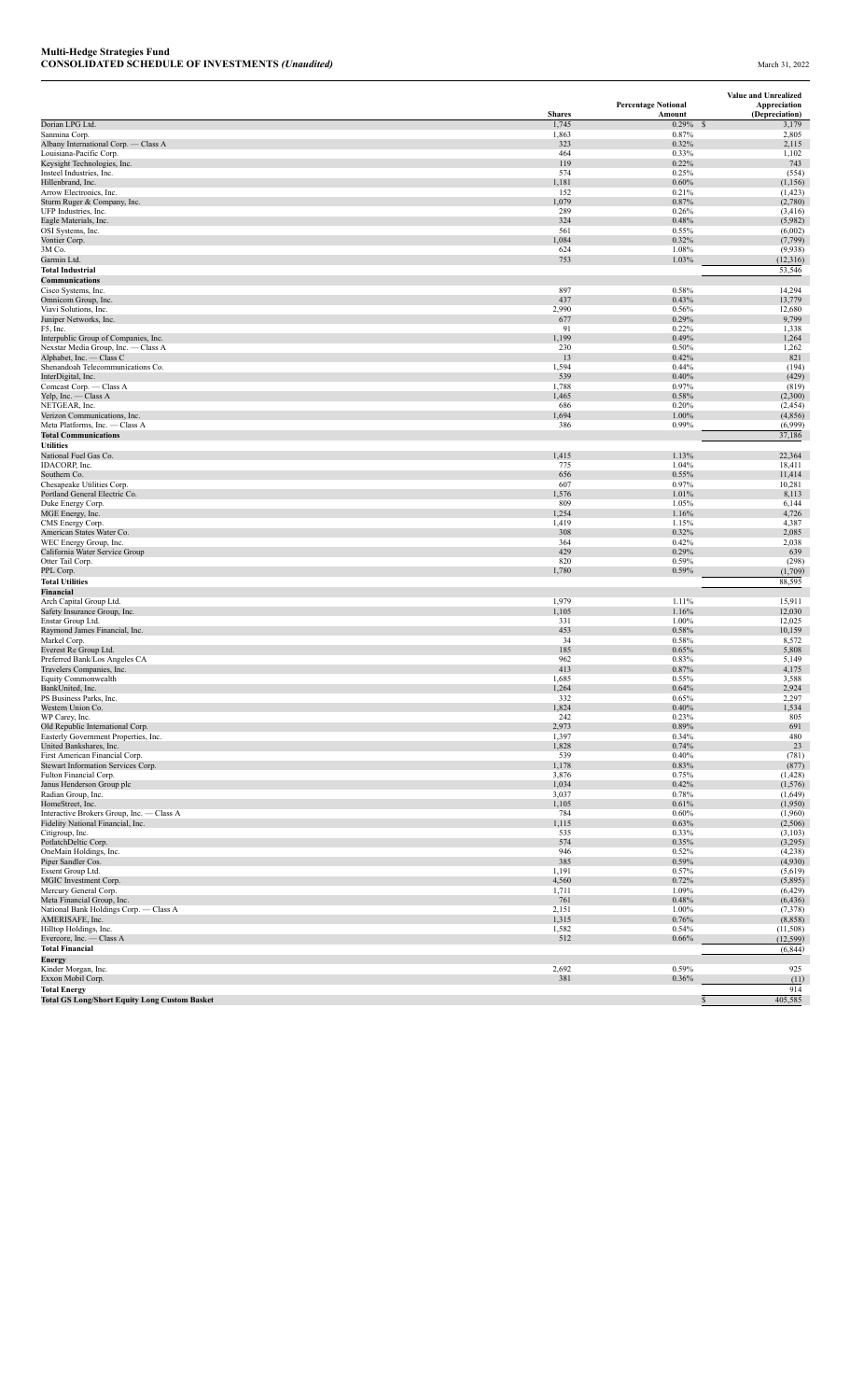|                                                                             |                        | <b>Percentage Notional</b> | Value and Unrealized<br>Appreciation     |
|-----------------------------------------------------------------------------|------------------------|----------------------------|------------------------------------------|
| Dorian LPG Ltd.                                                             | <b>Shares</b><br>1,745 | Amount<br>0.29%            | (Depreciation)<br>$\mathcal{S}$<br>3,179 |
| Sanmina Corp.                                                               | 1,863                  | 0.87%                      | 2,805                                    |
| Albany International Corp. - Class A                                        | 323                    | 0.32%                      | 2,115                                    |
| Louisiana-Pacific Corp.                                                     | 464<br>119             | 0.33%                      | 1,102                                    |
| Keysight Technologies, Inc.<br>Insteel Industries, Inc.                     | 574                    | 0.22%<br>0.25%             | 743<br>(554)                             |
| Hillenbrand, Inc.                                                           | 1,181                  | 0.60%                      | (1, 156)                                 |
| Arrow Electronics, Inc.                                                     | 152                    | 0.21%                      | (1, 423)                                 |
| Sturm Ruger & Company, Inc.                                                 | 1,079                  | 0.87%                      | (2,780)                                  |
| UFP Industries, Inc.<br>Eagle Materials, Inc.                               | 289<br>324             | 0.26%<br>0.48%             | (3, 416)<br>(5,982)                      |
| OSI Systems, Inc.                                                           | 561                    | 0.55%                      | (6,002)                                  |
| Vontier Corp.                                                               | 1,084                  | 0.32%                      | (7, 799)                                 |
| 3M Co.                                                                      | 624                    | 1.08%                      | (9,938)                                  |
| Garmin Ltd.                                                                 | 753                    | 1.03%                      | (12, 316)                                |
| <b>Total Industrial</b>                                                     |                        |                            | 53,546                                   |
| Communications<br>Cisco Systems, Inc.                                       | 897                    | 0.58%                      | 14,294                                   |
| Omnicom Group, Inc.                                                         | 437                    | 0.43%                      | 13,779                                   |
| Viavi Solutions, Inc.                                                       | 2,990                  | 0.56%                      | 12,680                                   |
| Juniper Networks, Inc                                                       | 677                    | 0.29%                      | 9,799                                    |
| F5, Inc.                                                                    | 91                     | 0.22%                      | 1,338                                    |
| Interpublic Group of Companies, Inc.<br>Nexstar Media Group, Inc. - Class A | 1,199<br>230           | 0.49%<br>0.50%             | 1,264<br>1,262                           |
| Alphabet, Inc. - Class C                                                    | 13                     | 0.42%                      | 821                                      |
| Shenandoah Telecommunications Co.                                           | 1,594                  | 0.44%                      | (194)                                    |
| InterDigital, Inc.                                                          | 539                    | 0.40%                      | (429)                                    |
| Comcast Corp. - Class A                                                     | 1,788                  | 0.97%                      | (819)                                    |
| Yelp, Inc. — Class A<br>NETGEAR, Inc.                                       | 1,465<br>686           | 0.58%<br>0.20%             | (2,300)<br>(2, 454)                      |
| Verizon Communications, Inc.                                                | 1,694                  | 1.00%                      | (4,856)                                  |
| Meta Platforms, Inc. - Class A                                              | 386                    | 0.99%                      | (6,999)                                  |
| <b>Total Communications</b>                                                 |                        |                            | 37,186                                   |
| <b>Utilities</b>                                                            |                        |                            |                                          |
| National Fuel Gas Co.                                                       | 1,415                  | 1.13%<br>1.04%             | 22,364<br>18,411                         |
| IDACORP, Inc.<br>Southern Co.                                               | 775<br>656             | 0.55%                      | 11,414                                   |
| Chesapeake Utilities Corp.                                                  | 607                    | 0.97%                      | 10,281                                   |
| Portland General Electric Co.                                               | 1,576                  | 1.01%                      | 8,113                                    |
| Duke Energy Corp.                                                           | 809                    | 1.05%                      | 6,144                                    |
| MGE Energy, Inc.                                                            | 1,254                  | 1.16%                      | 4,726                                    |
| CMS Energy Corp.<br>American States Water Co.                               | 1,419<br>308           | 1.15%<br>0.32%             | 4,387<br>2,085                           |
| WEC Energy Group, Inc.                                                      | 364                    | 0.42%                      | 2,038                                    |
| California Water Service Group                                              | 429                    | 0.29%                      | 639                                      |
| Otter Tail Corp.                                                            | 820                    | 0.59%                      | (298)                                    |
| PPL Corp.                                                                   | 1,780                  | 0.59%                      | (1,709)                                  |
| <b>Total Utilities</b><br>Financial                                         |                        |                            | 88,595                                   |
| Arch Capital Group Ltd.                                                     | 1,979                  | 1.11%                      | 15,911                                   |
| Safety Insurance Group, Inc.                                                | 1,105                  | 1.16%                      | 12,030                                   |
| Enstar Group Ltd.                                                           | 331                    | 1.00%                      | 12,025                                   |
| Raymond James Financial, Inc.                                               | 453                    | 0.58%                      | 10,159                                   |
| Markel Corp.<br>Everest Re Group Ltd.                                       | 34<br>185              | 0.58%<br>0.65%             | 8,572<br>5,808                           |
| Preferred Bank/Los Angeles CA                                               | 962                    | 0.83%                      | 5,149                                    |
| Travelers Companies, Inc.                                                   | 413                    | 0.87%                      | 4,175                                    |
| Equity Commonwealth                                                         | 1,685                  | 0.55%                      | 3,588                                    |
| BankUnited, Inc.                                                            | 1,264                  | 0.64%                      | 2,924                                    |
| PS Business Parks, Inc.                                                     | 332                    | 0.65%                      | 2,297                                    |
| Western Union Co.<br>WP Carey, Inc.                                         | ,824<br>242            | 0.40%<br>0.23%             | 1,534<br>805                             |
| Old Republic International Corp.                                            | 2,973                  | 0.89%                      | 691                                      |
| Easterly Government Properties, Inc.                                        | 1,397                  | 0.34%                      | 480                                      |
| United Bankshares, Inc.                                                     | 1,828                  | 0.74%                      | 23                                       |
| First American Financial Corp.                                              | 539                    | 0.40%                      | (781)                                    |
| Stewart Information Services Corp.                                          | 1,178                  | 0.83%                      | (877)                                    |
| Fulton Financial Corp.<br>Janus Henderson Group plc                         | 3,876<br>1,034         | 0.75%<br>0.42%             | (1, 428)<br>(1, 576)                     |
| Radian Group, Inc.                                                          | 3,037                  | 0.78%                      | (1,649)                                  |
| HomeStreet, Inc.                                                            | 1,105                  | 0.61%                      | (1,950)                                  |
| Interactive Brokers Group, Inc. - Class A                                   | 784                    | 0.60%                      | (1,960)                                  |
| Fidelity National Financial, Inc.                                           | 1,115                  | 0.63%                      | (2,506)                                  |
| Citigroup, Inc.<br>PotlatchDeltic Corp.                                     | 535<br>574             | 0.33%<br>0.35%             | (3, 103)<br>(3,295)                      |
| OneMain Holdings, Inc.                                                      | 946                    | 0.52%                      | (4,238)                                  |
| Piper Sandler Cos.                                                          | 385                    | 0.59%                      | (4,930)                                  |
| Essent Group Ltd.                                                           | 1,191                  | 0.57%                      | (5,619)                                  |
| MGIC Investment Corp.                                                       | 4,560                  | 0.72%                      | (5,895)                                  |
| Mercury General Corp.                                                       | 1,711                  | 1.09%                      | (6, 429)                                 |
| Meta Financial Group, Inc.<br>National Bank Holdings Corp. - Class A        | 761<br>2,151           | 0.48%<br>1.00%             | (6, 436)<br>(7,378)                      |
| AMERISAFE, Inc.                                                             | 1,315                  | 0.76%                      | (8, 858)                                 |
| Hilltop Holdings, Inc.                                                      | 1,582                  | 0.54%                      | (11,508)                                 |
| Evercore, Inc. - Class A                                                    | 512                    | 0.66%                      | (12, 599)                                |
| <b>Total Financial</b>                                                      |                        |                            | (6, 844)                                 |
| Energy                                                                      |                        |                            |                                          |
| Kinder Morgan, Inc.<br>Exxon Mobil Corp.                                    | 2,692<br>381           | 0.59%<br>0.36%             | 925<br>(11)                              |
| <b>Total Energy</b>                                                         |                        |                            | 914                                      |
| <b>Total GS Long/Short Equity Long Custom Basket</b>                        |                        |                            | 405,585                                  |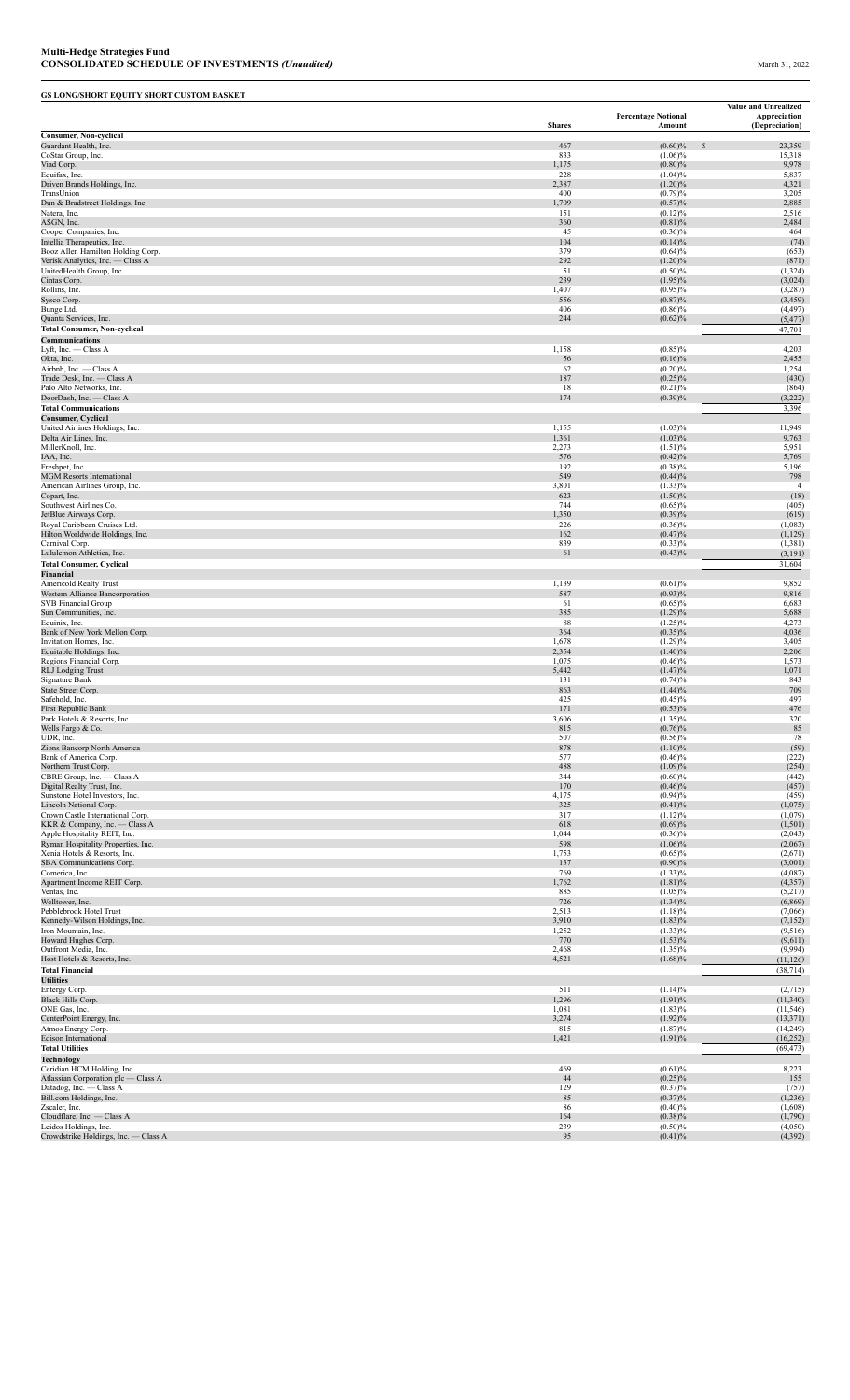| <b>GS LONG/SHORT EQUITY SHORT CUSTOM BASKET</b>                    |                |                            | Value and Unrealized    |
|--------------------------------------------------------------------|----------------|----------------------------|-------------------------|
|                                                                    |                | <b>Percentage Notional</b> | Appreciation            |
| <b>Consumer, Non-cyclical</b>                                      | <b>Shares</b>  | Amount                     | (Depreciation)          |
| Guardant Health, Inc.                                              | 467            | $(0.60)\%$                 | <sup>\$</sup><br>23,359 |
| CoStar Group, Inc.<br>Viad Corp.                                   | 833<br>1,175   | $(1.06)\%$<br>$(0.80)\%$   | 15,318<br>9,978         |
| Equifax, Inc.                                                      | 228            | $(1.04)\%$                 | 5,837                   |
| Driven Brands Holdings, Inc.<br>TransUnion                         | 2,387<br>400   | $(1.20)\%$<br>(0.79)%      | 4,321<br>3,205          |
| Dun & Bradstreet Holdings, Inc.                                    | 1,709          | (0.57)%                    | 2,885                   |
| Natera, Inc.                                                       | 151            | $(0.12)\%$                 | 2,516                   |
| ASGN, Inc.<br>Cooper Companies, Inc.                               | 360<br>45      | (0.81)%<br>$(0.36)\%$      | 2,484<br>464            |
| Intellia Therapeutics, Inc.                                        | 104            | $(0.14)\%$                 | (74)                    |
| Booz Allen Hamilton Holding Corp.                                  | 379            | (0.64)%                    | (653)                   |
| Verisk Analytics, Inc. - Class A<br>UnitedHealth Group, Inc.       | 292<br>51      | $(1.20)\%$<br>$(0.50)\%$   | (871)<br>(1, 324)       |
| Cintas Corp.                                                       | 239            | $(1.95)\%$                 | (3,024)                 |
| Rollins, Inc.<br>Sysco Corp.                                       | 1,407<br>556   | $(0.95)\%$<br>$(0.87)\%$   | (3,287)<br>(3, 459)     |
| Bunge Ltd.                                                         | 406            | $(0.86)\%$                 | (4, 497)                |
| Quanta Services, Inc.                                              | 244            | (0.62)%                    | (5, 477)                |
| <b>Total Consumer, Non-cyclical</b><br>Communications              |                |                            | 47,701                  |
| Lyft, Inc. - Class A                                               | 1,158          | $(0.85)\%$                 | 4,203                   |
| Okta, Inc.                                                         | 56             | $(0.16)\%$                 | 2,455                   |
| Airbnb, Inc. - Class A<br>Trade Desk, Inc. - Class A               | 62<br>187      | $(0.20)\%$<br>$(0.25)\%$   | 1,254<br>(430)          |
| Palo Alto Networks, Inc.                                           | 18             | (0.21)%                    | (864)                   |
| DoorDash, Inc. - Class A                                           | 174            | (0.39)%                    | (3,222)                 |
| <b>Total Communications</b>                                        |                |                            | 3,396                   |
| <b>Consumer, Cyclical</b><br>United Airlines Holdings, Inc.        | 1,155          | $(1.03)\%$                 | 11,949                  |
| Delta Air Lines, Inc.                                              | 1,361          | $(1.03)\%$                 | 9,763                   |
| MillerKnoll, Inc.                                                  | 2,273          | (1.51)%                    | 5,951                   |
| IAA, Inc.<br>Freshpet, Inc.                                        | 576<br>192     | (0.42)%<br>$(0.38)\%$      | 5,769<br>5,196          |
| <b>MGM Resorts International</b>                                   | 549            | (0.44)%                    | 798                     |
| American Airlines Group, Inc.                                      | 3,801          | $(1.33)\%$                 | $\overline{4}$          |
| Copart, Inc.<br>Southwest Airlines Co.                             | 623<br>744     | $(1.50)\%$<br>$(0.65)\%$   | (18)<br>(405)           |
| JetBlue Airways Corp.                                              | 1,350          | $(0.39)\%$                 | (619)                   |
| Royal Caribbean Cruises Ltd.                                       | 226            | $(0.36)\%$                 | (1,083)                 |
| Hilton Worldwide Holdings, Inc.<br>Carnival Corp.                  | 162<br>839     | (0.47)%<br>$(0.33)\%$      | (1, 129)<br>(1, 381)    |
| Lululemon Athletica, Inc.                                          | 61             | $(0.43)\%$                 | (3,191)                 |
| <b>Total Consumer, Cyclical</b>                                    |                |                            | 31,604                  |
| Financial<br>Americold Realty Trust                                | 1,139          | (0.61)%                    | 9,852                   |
| Western Alliance Bancorporation                                    | 587            | $(0.93)\%$                 | 9,816                   |
| <b>SVB Financial Group</b>                                         | 61             | $(0.65)\%$                 | 6,683                   |
| Sun Communities, Inc.<br>Equinix, Inc.                             | 385<br>88      | (1.29)%<br>$(1.25)\%$      | 5,688<br>4,273          |
| Bank of New York Mellon Corp.                                      | 364            | $(0.35)\%$                 | 4,036                   |
| Invitation Homes, Inc.                                             | 1,678          | $(1.29)\%$                 | 3,405                   |
| Equitable Holdings, Inc.<br>Regions Financial Corp.                | 2,354<br>1,075 | $(1.40)\%$<br>$(0.46)\%$   | 2,206<br>1,573          |
| RLJ Lodging Trust                                                  | 5,442          | (1.47)%                    | 1,071                   |
| Signature Bank                                                     | 131            | (0.74)%                    | 843                     |
| <b>State Street Corp</b><br>Safehold, Inc.                         | 863<br>425     | (1.44)%<br>$(0.45)\%$      | 709<br>497              |
| <b>First Republic Bank</b>                                         | 171            | $(0.53)\%$                 | 476                     |
| Park Hotels & Resorts, Inc.                                        | 3,606          | $(1.35)\%$                 | 320                     |
| Wells Fargo & Co.<br>UDR, Inc.                                     | 815<br>507     | $(0.76)\%$<br>$(0.56)\%$   | 85<br>78                |
| Zions Bancorp North America                                        | 878            | $(1.10)\%$                 | (59)                    |
| Bank of America Corp.<br>Northern Trust Corp.                      | 577<br>488     | $(0.46)\%$<br>(1.09)%      | (222)<br>(254)          |
| CBRE Group, Inc. - Class A                                         | 344            | $(0.60)\%$                 | (442)                   |
| Digital Realty Trust, Inc.                                         | 170            | $(0.46)\%$                 | (457)                   |
| Sunstone Hotel Investors, Inc.<br>Lincoln National Corp.           | 4,175<br>325   | $(0.94)\%$<br>(0.41)%      | (459)<br>(1,075)        |
| Crown Castle International Corp.                                   | 317            | $(1.12)\%$                 | (1,079)                 |
| KKR & Company, Inc. - Class A                                      | 618            | (0.69)%                    | (1,501)                 |
| Apple Hospitality REIT, Inc.<br>Ryman Hospitality Properties, Inc. | 1,044<br>598   | $(0.36)\%$<br>$(1.06)\%$   | (2,043)<br>(2,067)      |
| Xenia Hotels & Resorts, Inc.                                       | 1,753          | $(0.65)\%$                 | (2,671)                 |
| SBA Communications Corp.                                           | 137            | $(0.90)\%$                 | (3,001)                 |
| Comerica, Inc.<br>Apartment Income REIT Corp.                      | 769<br>1,762   | $(1.33)\%$<br>(1.81)%      | (4,087)<br>(4, 357)     |
| Ventas, Inc.                                                       | 885            | $(1.05)\%$                 | (5,217)                 |
| Welltower, Inc.                                                    | 726            | $(1.34)\%$                 | (6,869)                 |
| Pebblebrook Hotel Trust<br>Kennedy-Wilson Holdings, Inc.           | 2,513<br>3,910 | $(1.18)\%$<br>$(1.83)\%$   | (7,066)<br>(7, 152)     |
| Iron Mountain, Inc.                                                | 1,252          | $(1.33)\%$                 | (9, 516)                |
| Howard Hughes Corp.                                                | 770            | $(1.53)\%$                 | (9,611)                 |
| Outfront Media, Inc.<br>Host Hotels & Resorts, Inc.                | 2,468<br>4,521 | $(1.35)\%$<br>$(1.68)\%$   | (9,994)<br>(11, 126)    |
| <b>Total Financial</b>                                             |                |                            | (38, 714)               |
| <b>Utilities</b>                                                   |                |                            |                         |
| Entergy Corp.<br>Black Hills Corp.                                 | 511<br>1,296   | (1.14)%<br>(1.91)%         | (2,715)<br>(11,340)     |
| ONE Gas, Inc.                                                      | 1,081          | $(1.83)\%$                 | (11, 546)               |
| CenterPoint Energy, Inc.                                           | 3,274          | $(1.92)\%$                 | (13, 371)               |
| Atmos Energy Corp.<br><b>Edison International</b>                  | 815<br>1,421   | (1.87)%<br>(1.91)%         | (14,249)<br>(16, 252)   |
| <b>Total Utilities</b>                                             |                |                            | (69, 473)               |
| <b>Technology</b>                                                  |                |                            |                         |
| Ceridian HCM Holding, Inc.                                         | 469            | (0.61)%                    | 8,223                   |
| Atlassian Corporation plc - Class A<br>Datadog, Inc. - Class A     | 44<br>129      | $(0.25)\%$<br>$(0.37)\%$   | 155<br>(757)            |
| Bill.com Holdings, Inc.                                            | 85             | $(0.37)\%$                 | (1,236)                 |
| Zscaler, Inc.                                                      | 86             | $(0.40)\%$<br>$(0.38)\%$   | (1,608)<br>(1,790)      |
| Cloudflare, Inc. - Class A<br>Leidos Holdings, Inc.                | 164<br>239     | $(0.50)\%$                 | (4,050)                 |
| Crowdstrike Holdings, Inc. - Class A                               | 95             | (0.41)%                    | (4,392)                 |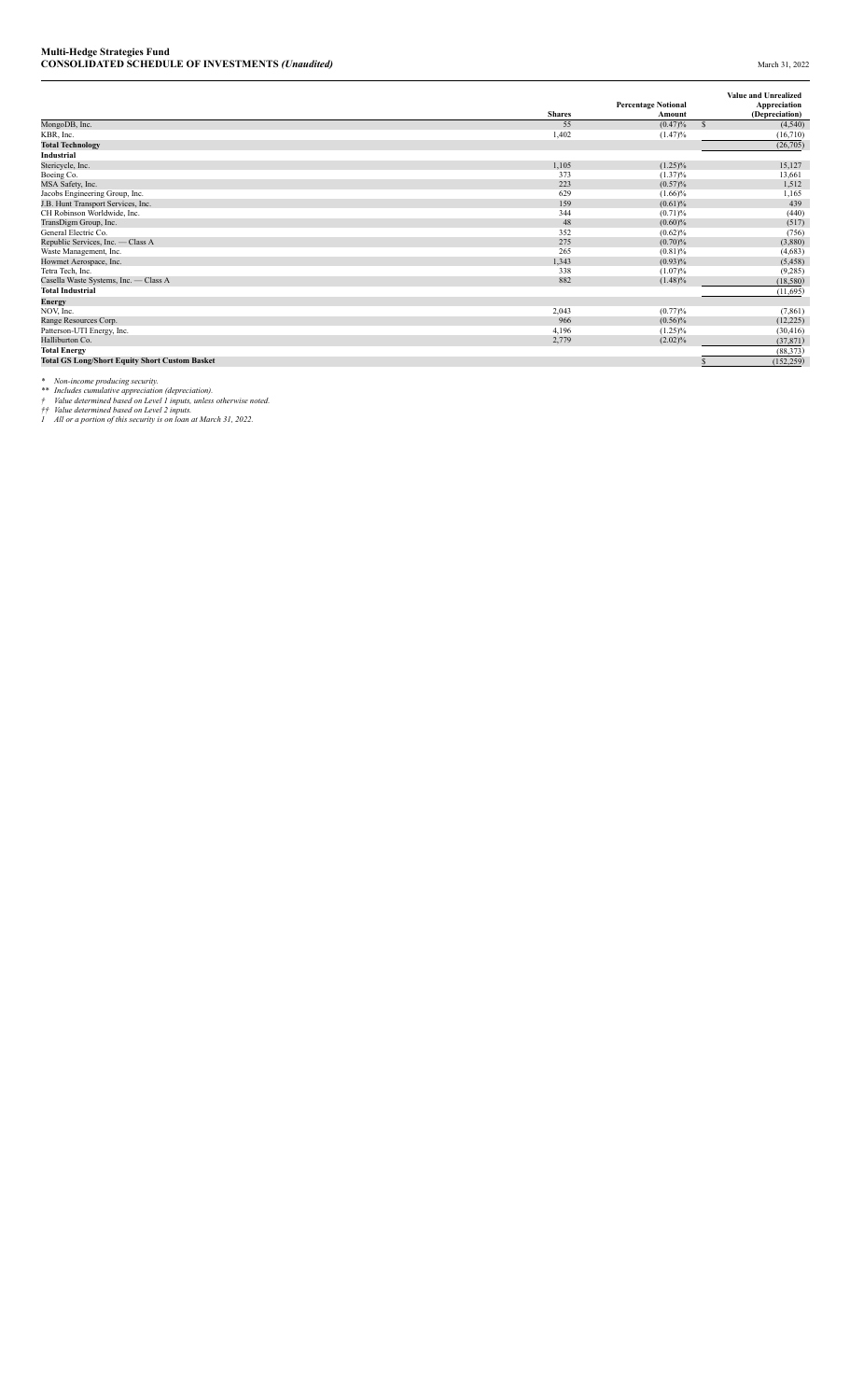|                                                       |               | <b>Percentage Notional</b> | <b>Value and Unrealized</b><br>Appreciation |
|-------------------------------------------------------|---------------|----------------------------|---------------------------------------------|
|                                                       | <b>Shares</b> | Amount                     | (Depreciation)                              |
| MongoDB, Inc.                                         | 55            | (0.47)%                    | $\mathbf{s}$<br>(4,540)                     |
| KBR, Inc.                                             | 1,402         | (1.47)%                    | (16,710)                                    |
| <b>Total Technology</b>                               |               |                            | (26,705)                                    |
| Industrial                                            |               |                            |                                             |
| Stericycle, Inc.                                      | 1,105         | $(1.25)\%$                 | 15,127                                      |
| Boeing Co.                                            | 373           | $(1.37)\%$                 | 13,661                                      |
| MSA Safety, Inc.                                      | 223           | (0.57)%                    | 1,512                                       |
| Jacobs Engineering Group, Inc.                        | 629           | $(1.66)\%$                 | 1,165                                       |
| J.B. Hunt Transport Services, Inc.                    | 159           | $(0.61)$ %                 | 439                                         |
| CH Robinson Worldwide, Inc.                           | 344           | (0.71)%                    | (440)                                       |
| TransDigm Group, Inc.                                 | 48            | $(0.60)\%$                 | (517)                                       |
| General Electric Co.                                  | 352           | (0.62)%                    | (756)                                       |
| Republic Services, Inc. - Class A                     | 275           | (0.70)%                    | (3,880)                                     |
| Waste Management, Inc.                                | 265           | (0.81)%                    | (4,683)                                     |
| Howmet Aerospace, Inc.                                | 1,343         | $(0.93)\%$                 | (5, 458)                                    |
| Tetra Tech, Inc.                                      | 338           | $(1.07)\%$                 | (9, 285)                                    |
| Casella Waste Systems, Inc. - Class A                 | 882           | $(1.48)\%$                 | (18,580)                                    |
| <b>Total Industrial</b>                               |               |                            | (11,695)                                    |
| Energy                                                |               |                            |                                             |
| NOV, Inc.                                             | 2,043         | (0.77)%                    | (7, 861)                                    |
| Range Resources Corp.                                 | 966           | $(0.56)\%$                 | (12, 225)                                   |
| Patterson-UTI Energy, Inc.                            | 4,196         | $(1.25)\%$                 | (30, 416)                                   |
| Halliburton Co.                                       | 2,779         | $(2.02)\%$                 | (37, 871)                                   |
| <b>Total Energy</b>                                   |               |                            | (88, 373)                                   |
| <b>Total GS Long/Short Equity Short Custom Basket</b> |               |                            | (152, 259)                                  |

\* Non-income producing security.<br>\*\* Includes cumulative appreciation (depreciation).<br>† Value determined based on Level 1 inputs, unless otherwise noted.<br>† Talue determined based on Level 2 inputs.<br>1 All or a portion of thi